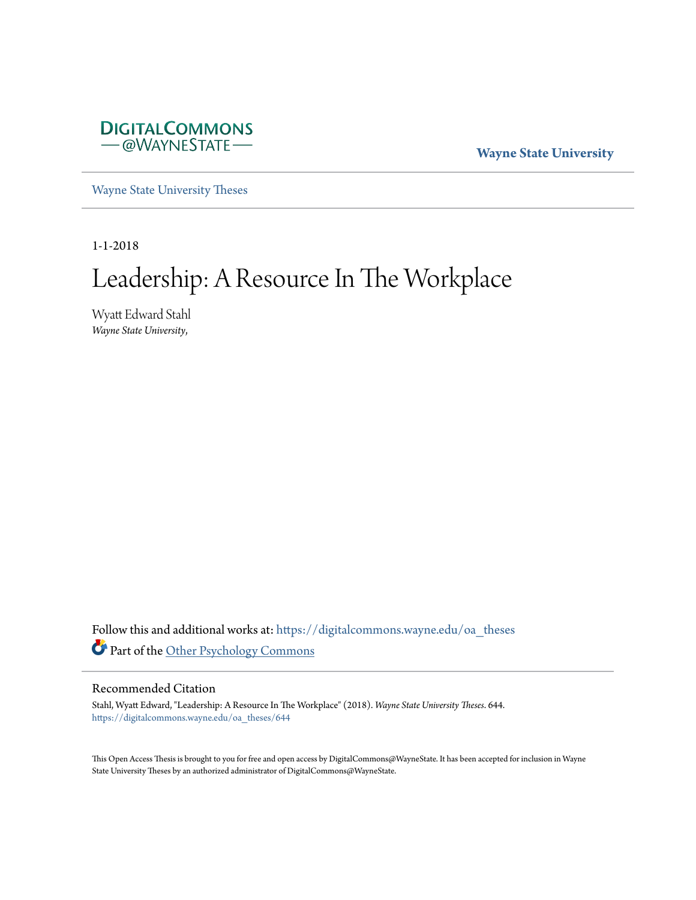

**Wayne State University**

[Wayne State University Theses](https://digitalcommons.wayne.edu/oa_theses?utm_source=digitalcommons.wayne.edu%2Foa_theses%2F644&utm_medium=PDF&utm_campaign=PDFCoverPages)

1-1-2018

# Leadership: A Resource In The Workplace

Wyatt Edward Stahl *Wayne State University*,

Follow this and additional works at: [https://digitalcommons.wayne.edu/oa\\_theses](https://digitalcommons.wayne.edu/oa_theses?utm_source=digitalcommons.wayne.edu%2Foa_theses%2F644&utm_medium=PDF&utm_campaign=PDFCoverPages) Part of the [Other Psychology Commons](http://network.bepress.com/hgg/discipline/415?utm_source=digitalcommons.wayne.edu%2Foa_theses%2F644&utm_medium=PDF&utm_campaign=PDFCoverPages)

## Recommended Citation

Stahl, Wyatt Edward, "Leadership: A Resource In The Workplace" (2018). *Wayne State University Theses*. 644. [https://digitalcommons.wayne.edu/oa\\_theses/644](https://digitalcommons.wayne.edu/oa_theses/644?utm_source=digitalcommons.wayne.edu%2Foa_theses%2F644&utm_medium=PDF&utm_campaign=PDFCoverPages)

This Open Access Thesis is brought to you for free and open access by DigitalCommons@WayneState. It has been accepted for inclusion in Wayne State University Theses by an authorized administrator of DigitalCommons@WayneState.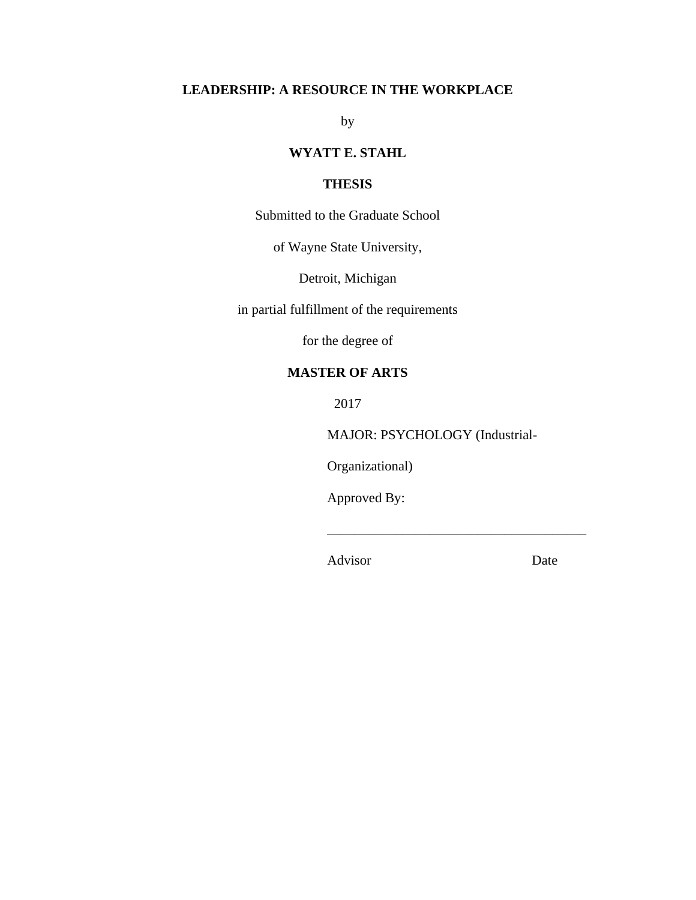# **LEADERSHIP: A RESOURCE IN THE WORKPLACE**

by

# **WYATT E. STAHL**

# **THESIS**

Submitted to the Graduate School

of Wayne State University,

Detroit, Michigan

in partial fulfillment of the requirements

for the degree of

# **MASTER OF ARTS**

2017

MAJOR: PSYCHOLOGY (Industrial-

\_\_\_\_\_\_\_\_\_\_\_\_\_\_\_\_\_\_\_\_\_\_\_\_\_\_\_\_\_\_\_\_\_\_\_\_\_\_

Organizational)

Approved By:

Advisor Date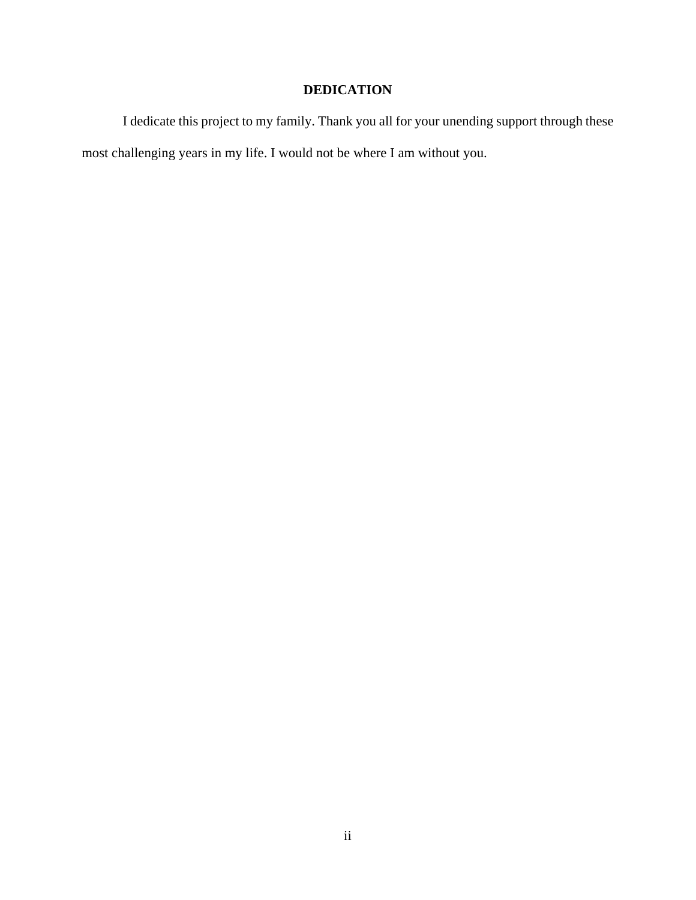# **DEDICATION**

I dedicate this project to my family. Thank you all for your unending support through these most challenging years in my life. I would not be where I am without you.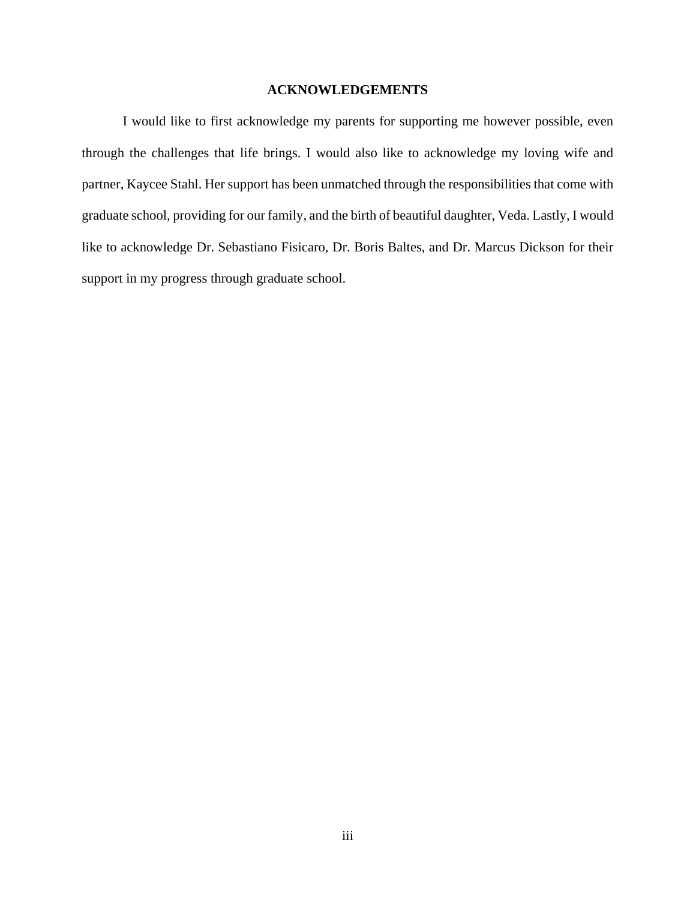## **ACKNOWLEDGEMENTS**

I would like to first acknowledge my parents for supporting me however possible, even through the challenges that life brings. I would also like to acknowledge my loving wife and partner, Kaycee Stahl. Her support has been unmatched through the responsibilities that come with graduate school, providing for our family, and the birth of beautiful daughter, Veda. Lastly, I would like to acknowledge Dr. Sebastiano Fisicaro, Dr. Boris Baltes, and Dr. Marcus Dickson for their support in my progress through graduate school.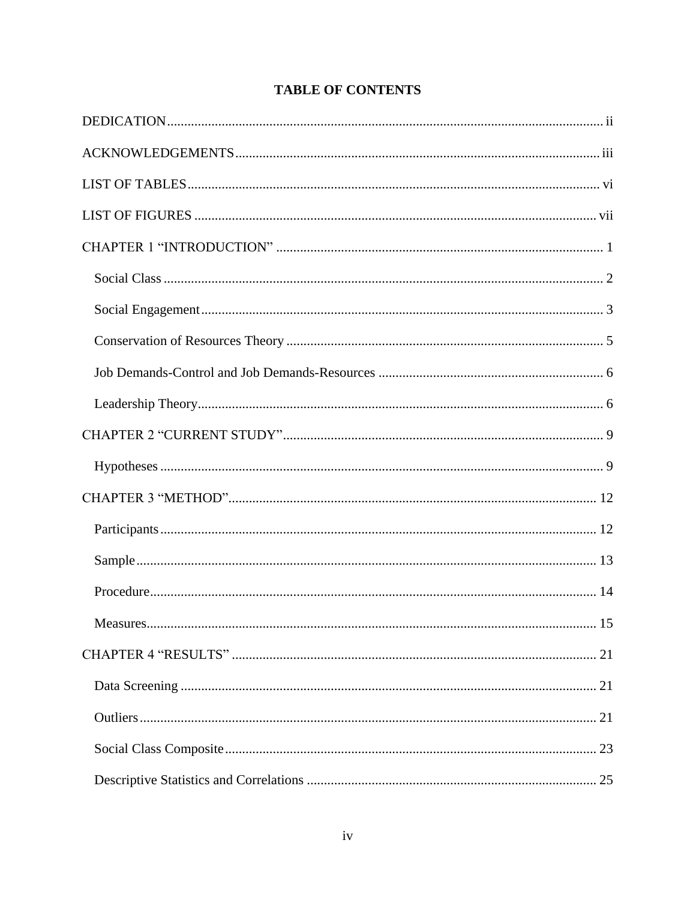# **TABLE OF CONTENTS**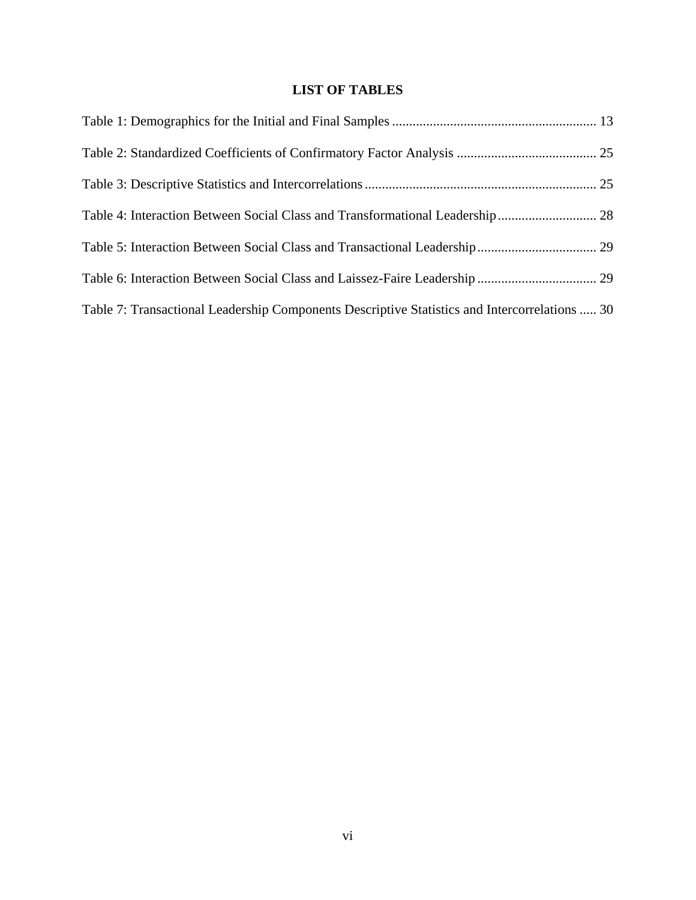# **LIST OF TABLES**

| Table 4: Interaction Between Social Class and Transformational Leadership 28                  |  |
|-----------------------------------------------------------------------------------------------|--|
|                                                                                               |  |
|                                                                                               |  |
| Table 7: Transactional Leadership Components Descriptive Statistics and Intercorrelations  30 |  |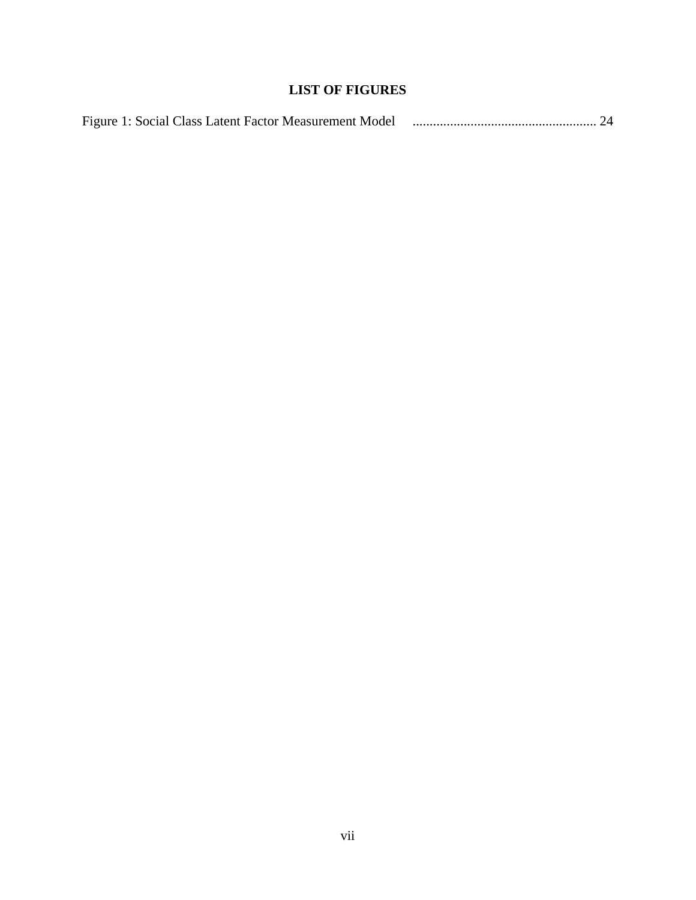# **LIST OF FIGURES**

| Figure 1: Social Class Latent Factor Measurement Model |  |
|--------------------------------------------------------|--|
|--------------------------------------------------------|--|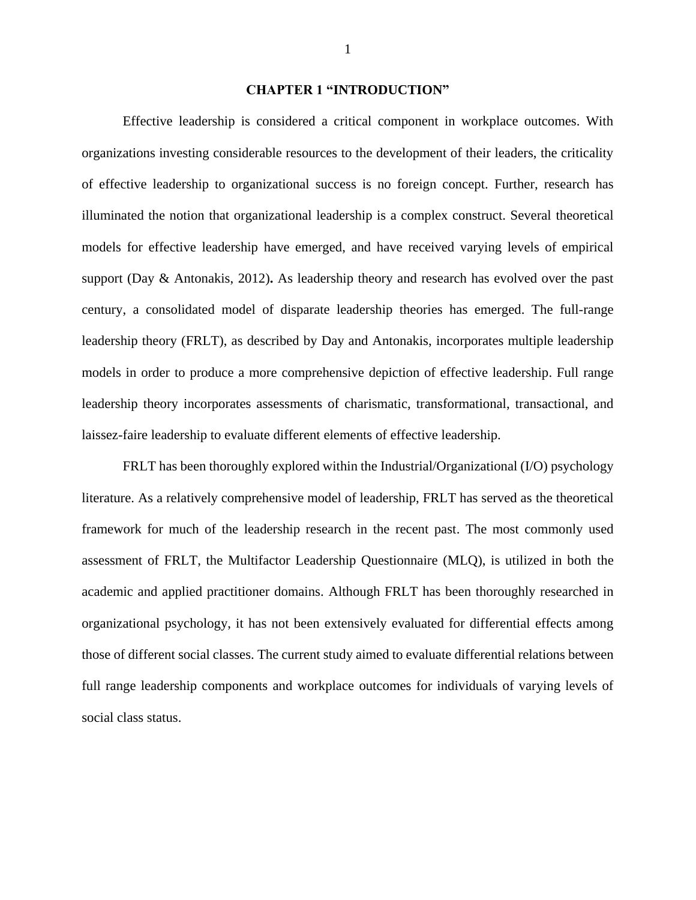#### **CHAPTER 1 "INTRODUCTION"**

Effective leadership is considered a critical component in workplace outcomes. With organizations investing considerable resources to the development of their leaders, the criticality of effective leadership to organizational success is no foreign concept. Further, research has illuminated the notion that organizational leadership is a complex construct. Several theoretical models for effective leadership have emerged, and have received varying levels of empirical support (Day & Antonakis, 2012)**.** As leadership theory and research has evolved over the past century, a consolidated model of disparate leadership theories has emerged. The full-range leadership theory (FRLT), as described by Day and Antonakis, incorporates multiple leadership models in order to produce a more comprehensive depiction of effective leadership. Full range leadership theory incorporates assessments of charismatic, transformational, transactional, and laissez-faire leadership to evaluate different elements of effective leadership.

FRLT has been thoroughly explored within the Industrial/Organizational (I/O) psychology literature. As a relatively comprehensive model of leadership, FRLT has served as the theoretical framework for much of the leadership research in the recent past. The most commonly used assessment of FRLT, the Multifactor Leadership Questionnaire (MLQ), is utilized in both the academic and applied practitioner domains. Although FRLT has been thoroughly researched in organizational psychology, it has not been extensively evaluated for differential effects among those of different social classes. The current study aimed to evaluate differential relations between full range leadership components and workplace outcomes for individuals of varying levels of social class status.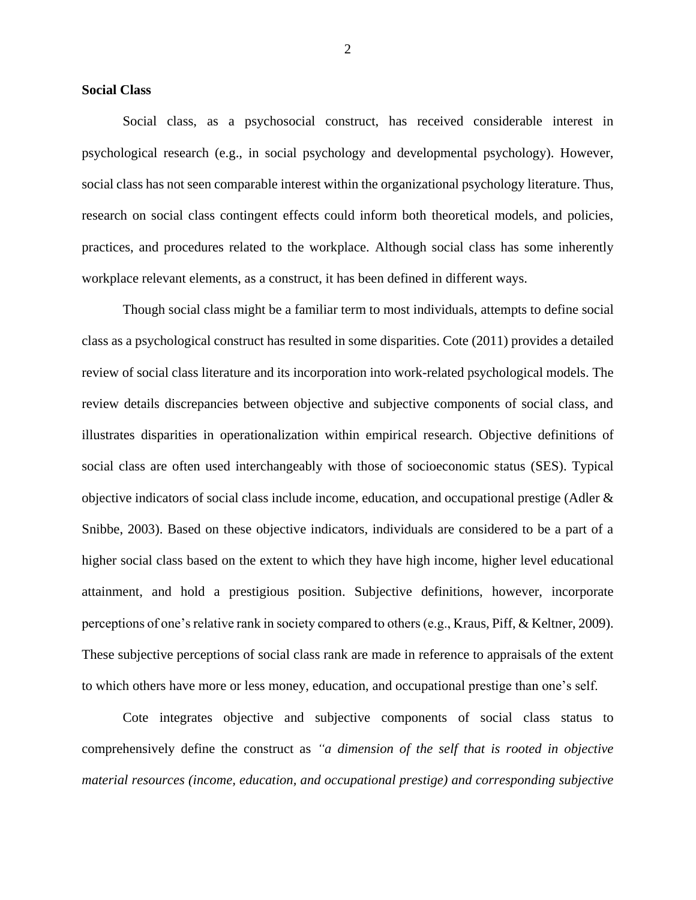#### **Social Class**

Social class, as a psychosocial construct, has received considerable interest in psychological research (e.g., in social psychology and developmental psychology). However, social class has not seen comparable interest within the organizational psychology literature. Thus, research on social class contingent effects could inform both theoretical models, and policies, practices, and procedures related to the workplace. Although social class has some inherently workplace relevant elements, as a construct, it has been defined in different ways.

Though social class might be a familiar term to most individuals, attempts to define social class as a psychological construct has resulted in some disparities. Cote (2011) provides a detailed review of social class literature and its incorporation into work-related psychological models. The review details discrepancies between objective and subjective components of social class, and illustrates disparities in operationalization within empirical research. Objective definitions of social class are often used interchangeably with those of socioeconomic status (SES). Typical objective indicators of social class include income, education, and occupational prestige (Adler & Snibbe, 2003). Based on these objective indicators, individuals are considered to be a part of a higher social class based on the extent to which they have high income, higher level educational attainment, and hold a prestigious position. Subjective definitions, however, incorporate perceptions of one's relative rank in society compared to others (e.g., Kraus, Piff, & Keltner, 2009). These subjective perceptions of social class rank are made in reference to appraisals of the extent to which others have more or less money, education, and occupational prestige than one's self.

Cote integrates objective and subjective components of social class status to comprehensively define the construct as *"a dimension of the self that is rooted in objective material resources (income, education, and occupational prestige) and corresponding subjective*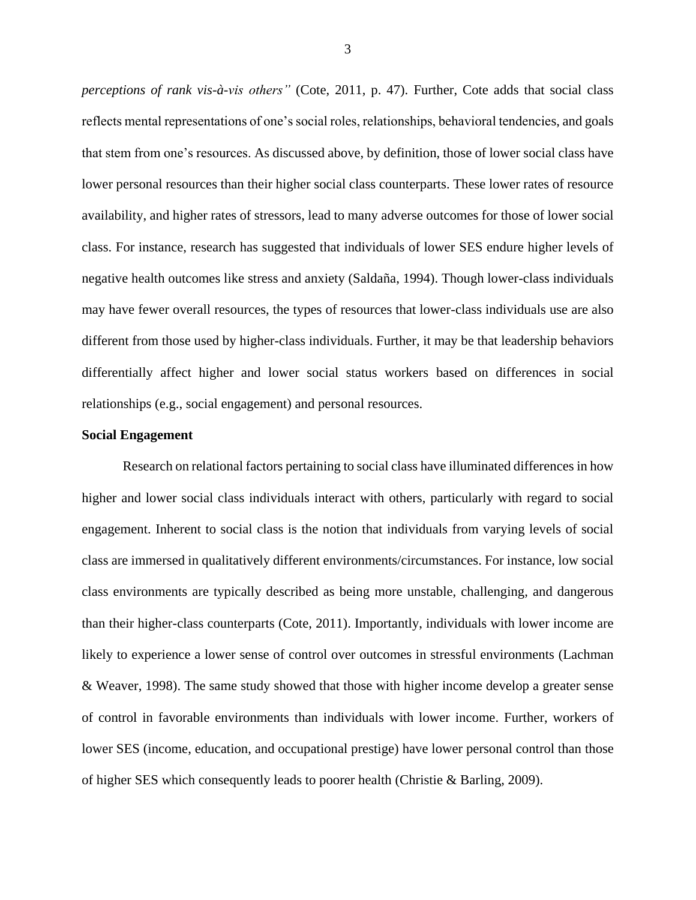*perceptions of rank vis-à-vis others"* (Cote, 2011, p. 47). Further, Cote adds that social class reflects mental representations of one's social roles, relationships, behavioral tendencies, and goals that stem from one's resources. As discussed above, by definition, those of lower social class have lower personal resources than their higher social class counterparts. These lower rates of resource availability, and higher rates of stressors, lead to many adverse outcomes for those of lower social class. For instance, research has suggested that individuals of lower SES endure higher levels of negative health outcomes like stress and anxiety (Saldaña, 1994). Though lower-class individuals may have fewer overall resources, the types of resources that lower-class individuals use are also different from those used by higher-class individuals. Further, it may be that leadership behaviors differentially affect higher and lower social status workers based on differences in social relationships (e.g., social engagement) and personal resources.

#### **Social Engagement**

Research on relational factors pertaining to social class have illuminated differences in how higher and lower social class individuals interact with others, particularly with regard to social engagement. Inherent to social class is the notion that individuals from varying levels of social class are immersed in qualitatively different environments/circumstances. For instance, low social class environments are typically described as being more unstable, challenging, and dangerous than their higher-class counterparts (Cote, 2011). Importantly, individuals with lower income are likely to experience a lower sense of control over outcomes in stressful environments (Lachman & Weaver, 1998). The same study showed that those with higher income develop a greater sense of control in favorable environments than individuals with lower income. Further, workers of lower SES (income, education, and occupational prestige) have lower personal control than those of higher SES which consequently leads to poorer health (Christie & Barling, 2009).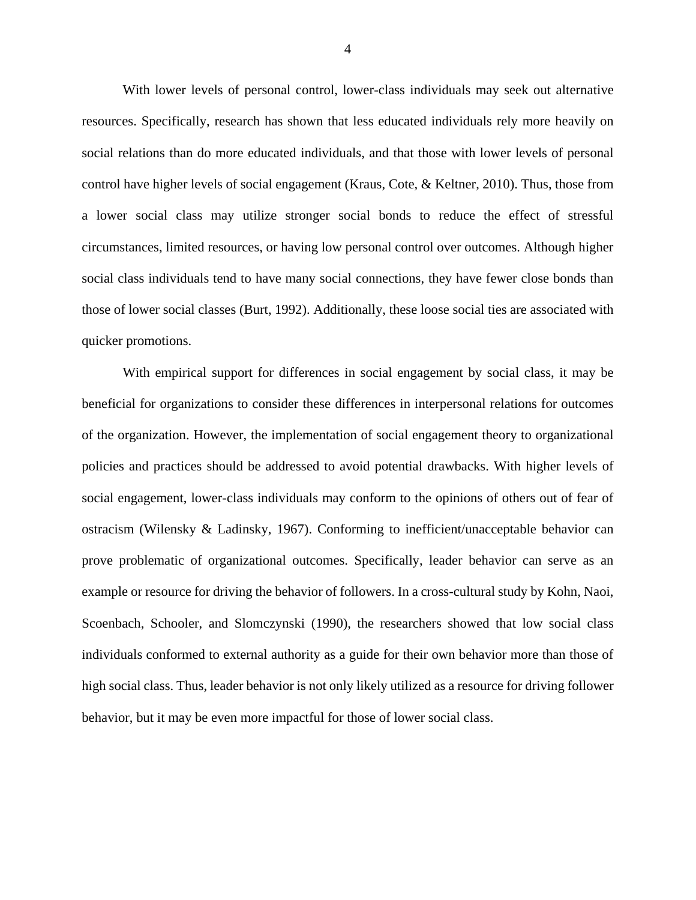With lower levels of personal control, lower-class individuals may seek out alternative resources. Specifically, research has shown that less educated individuals rely more heavily on social relations than do more educated individuals, and that those with lower levels of personal control have higher levels of social engagement (Kraus, Cote, & Keltner, 2010). Thus, those from a lower social class may utilize stronger social bonds to reduce the effect of stressful circumstances, limited resources, or having low personal control over outcomes. Although higher social class individuals tend to have many social connections, they have fewer close bonds than those of lower social classes (Burt, 1992). Additionally, these loose social ties are associated with quicker promotions.

With empirical support for differences in social engagement by social class, it may be beneficial for organizations to consider these differences in interpersonal relations for outcomes of the organization. However, the implementation of social engagement theory to organizational policies and practices should be addressed to avoid potential drawbacks. With higher levels of social engagement, lower-class individuals may conform to the opinions of others out of fear of ostracism (Wilensky & Ladinsky, 1967). Conforming to inefficient/unacceptable behavior can prove problematic of organizational outcomes. Specifically, leader behavior can serve as an example or resource for driving the behavior of followers. In a cross-cultural study by Kohn, Naoi, Scoenbach, Schooler, and Slomczynski (1990), the researchers showed that low social class individuals conformed to external authority as a guide for their own behavior more than those of high social class. Thus, leader behavior is not only likely utilized as a resource for driving follower behavior, but it may be even more impactful for those of lower social class.

4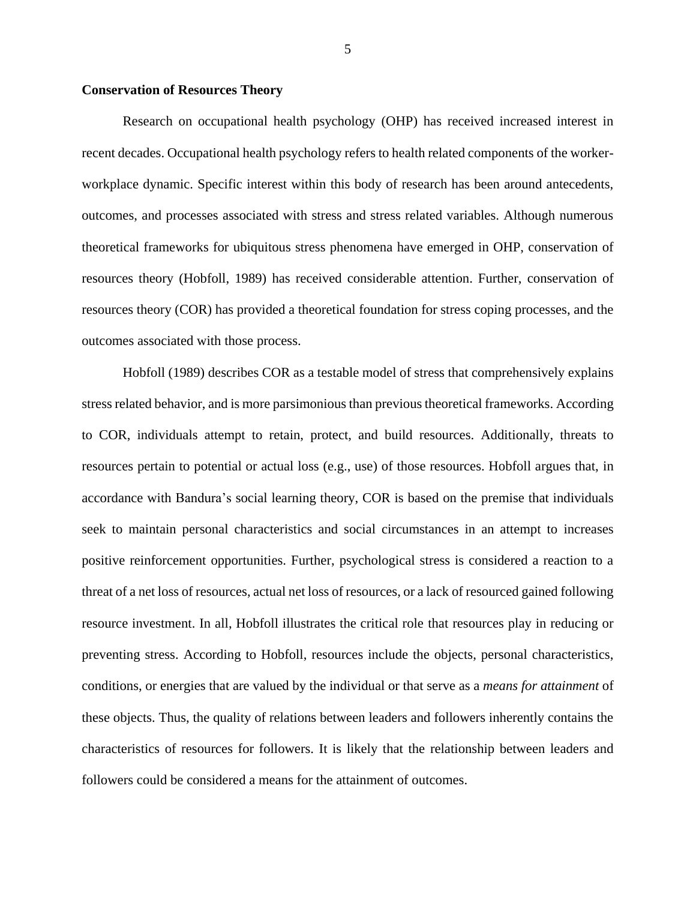#### **Conservation of Resources Theory**

Research on occupational health psychology (OHP) has received increased interest in recent decades. Occupational health psychology refers to health related components of the workerworkplace dynamic. Specific interest within this body of research has been around antecedents, outcomes, and processes associated with stress and stress related variables. Although numerous theoretical frameworks for ubiquitous stress phenomena have emerged in OHP, conservation of resources theory (Hobfoll, 1989) has received considerable attention. Further, conservation of resources theory (COR) has provided a theoretical foundation for stress coping processes, and the outcomes associated with those process.

Hobfoll (1989) describes COR as a testable model of stress that comprehensively explains stress related behavior, and is more parsimonious than previous theoretical frameworks. According to COR, individuals attempt to retain, protect, and build resources. Additionally, threats to resources pertain to potential or actual loss (e.g., use) of those resources. Hobfoll argues that, in accordance with Bandura's social learning theory, COR is based on the premise that individuals seek to maintain personal characteristics and social circumstances in an attempt to increases positive reinforcement opportunities. Further, psychological stress is considered a reaction to a threat of a net loss of resources, actual net loss of resources, or a lack of resourced gained following resource investment. In all, Hobfoll illustrates the critical role that resources play in reducing or preventing stress. According to Hobfoll, resources include the objects, personal characteristics, conditions, or energies that are valued by the individual or that serve as a *means for attainment* of these objects. Thus, the quality of relations between leaders and followers inherently contains the characteristics of resources for followers. It is likely that the relationship between leaders and followers could be considered a means for the attainment of outcomes.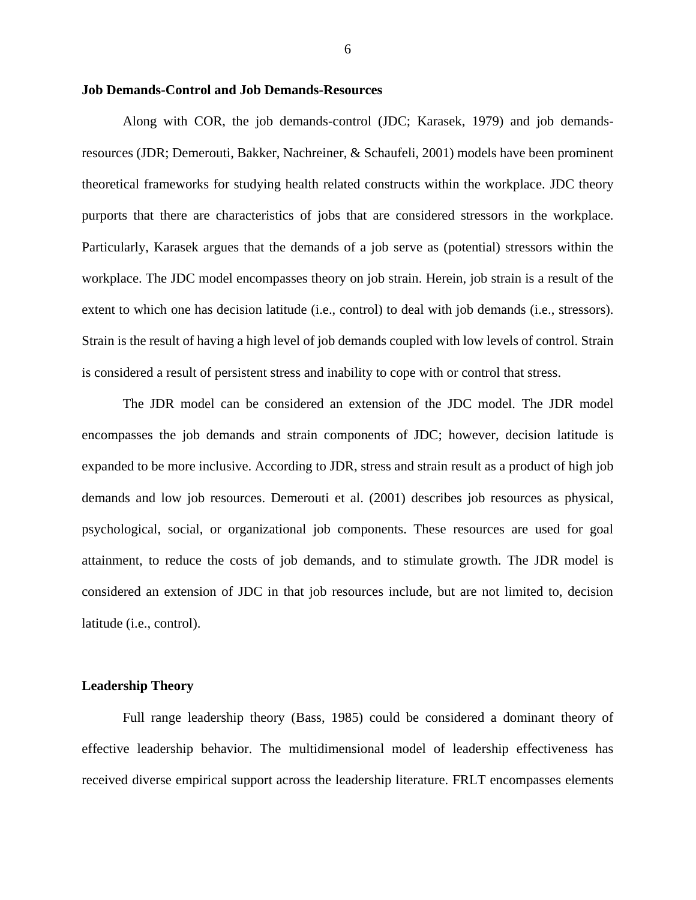#### **Job Demands-Control and Job Demands-Resources**

Along with COR, the job demands-control (JDC; Karasek, 1979) and job demandsresources (JDR; Demerouti, Bakker, Nachreiner, & Schaufeli, 2001) models have been prominent theoretical frameworks for studying health related constructs within the workplace. JDC theory purports that there are characteristics of jobs that are considered stressors in the workplace. Particularly, Karasek argues that the demands of a job serve as (potential) stressors within the workplace. The JDC model encompasses theory on job strain. Herein, job strain is a result of the extent to which one has decision latitude (i.e., control) to deal with job demands (i.e., stressors). Strain is the result of having a high level of job demands coupled with low levels of control. Strain is considered a result of persistent stress and inability to cope with or control that stress.

The JDR model can be considered an extension of the JDC model. The JDR model encompasses the job demands and strain components of JDC; however, decision latitude is expanded to be more inclusive. According to JDR, stress and strain result as a product of high job demands and low job resources. Demerouti et al. (2001) describes job resources as physical, psychological, social, or organizational job components. These resources are used for goal attainment, to reduce the costs of job demands, and to stimulate growth. The JDR model is considered an extension of JDC in that job resources include, but are not limited to, decision latitude (i.e., control).

#### **Leadership Theory**

Full range leadership theory (Bass, 1985) could be considered a dominant theory of effective leadership behavior. The multidimensional model of leadership effectiveness has received diverse empirical support across the leadership literature. FRLT encompasses elements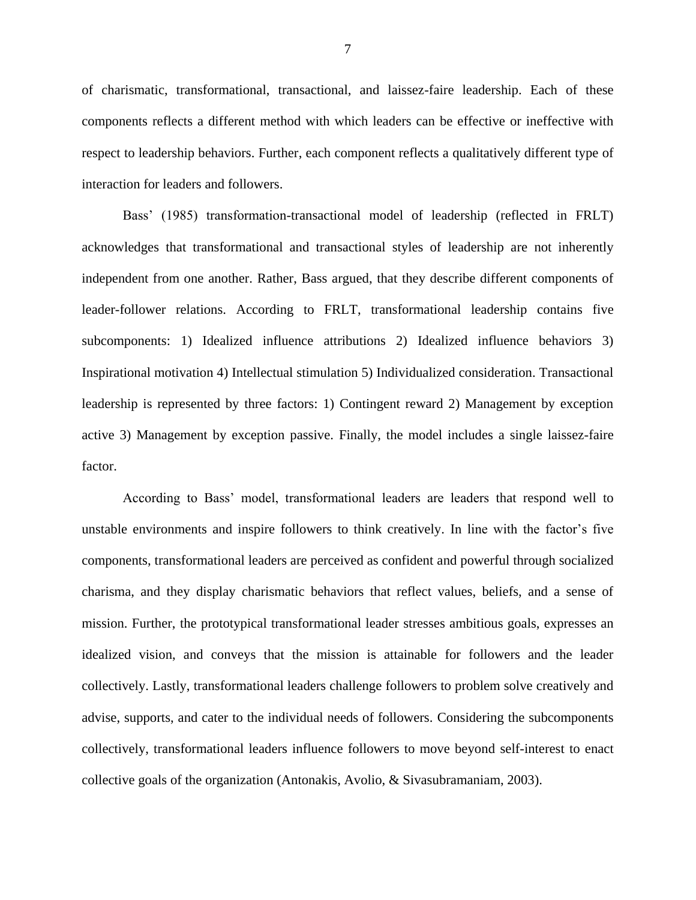of charismatic, transformational, transactional, and laissez-faire leadership. Each of these components reflects a different method with which leaders can be effective or ineffective with respect to leadership behaviors. Further, each component reflects a qualitatively different type of interaction for leaders and followers.

Bass' (1985) transformation-transactional model of leadership (reflected in FRLT) acknowledges that transformational and transactional styles of leadership are not inherently independent from one another. Rather, Bass argued, that they describe different components of leader-follower relations. According to FRLT, transformational leadership contains five subcomponents: 1) Idealized influence attributions 2) Idealized influence behaviors 3) Inspirational motivation 4) Intellectual stimulation 5) Individualized consideration. Transactional leadership is represented by three factors: 1) Contingent reward 2) Management by exception active 3) Management by exception passive. Finally, the model includes a single laissez-faire factor.

According to Bass' model, transformational leaders are leaders that respond well to unstable environments and inspire followers to think creatively. In line with the factor's five components, transformational leaders are perceived as confident and powerful through socialized charisma, and they display charismatic behaviors that reflect values, beliefs, and a sense of mission. Further, the prototypical transformational leader stresses ambitious goals, expresses an idealized vision, and conveys that the mission is attainable for followers and the leader collectively. Lastly, transformational leaders challenge followers to problem solve creatively and advise, supports, and cater to the individual needs of followers. Considering the subcomponents collectively, transformational leaders influence followers to move beyond self-interest to enact collective goals of the organization (Antonakis, Avolio, & Sivasubramaniam, 2003).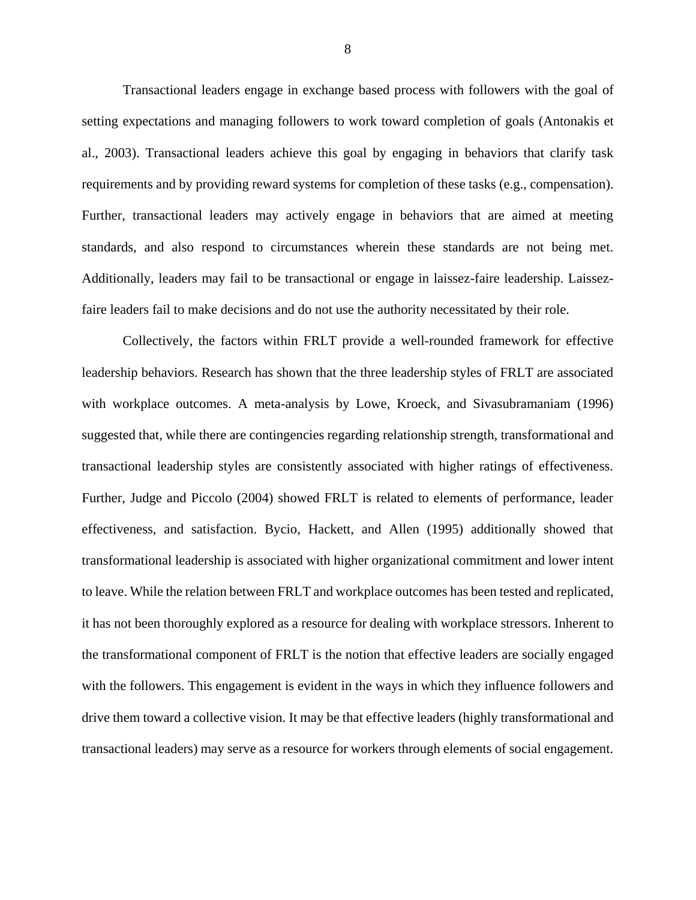Transactional leaders engage in exchange based process with followers with the goal of setting expectations and managing followers to work toward completion of goals (Antonakis et al., 2003). Transactional leaders achieve this goal by engaging in behaviors that clarify task requirements and by providing reward systems for completion of these tasks (e.g., compensation). Further, transactional leaders may actively engage in behaviors that are aimed at meeting standards, and also respond to circumstances wherein these standards are not being met. Additionally, leaders may fail to be transactional or engage in laissez-faire leadership. Laissezfaire leaders fail to make decisions and do not use the authority necessitated by their role.

Collectively, the factors within FRLT provide a well-rounded framework for effective leadership behaviors. Research has shown that the three leadership styles of FRLT are associated with workplace outcomes. A meta-analysis by Lowe, Kroeck, and Sivasubramaniam (1996) suggested that, while there are contingencies regarding relationship strength, transformational and transactional leadership styles are consistently associated with higher ratings of effectiveness. Further, Judge and Piccolo (2004) showed FRLT is related to elements of performance, leader effectiveness, and satisfaction. Bycio, Hackett, and Allen (1995) additionally showed that transformational leadership is associated with higher organizational commitment and lower intent to leave. While the relation between FRLT and workplace outcomes has been tested and replicated, it has not been thoroughly explored as a resource for dealing with workplace stressors. Inherent to the transformational component of FRLT is the notion that effective leaders are socially engaged with the followers. This engagement is evident in the ways in which they influence followers and drive them toward a collective vision. It may be that effective leaders (highly transformational and transactional leaders) may serve as a resource for workers through elements of social engagement.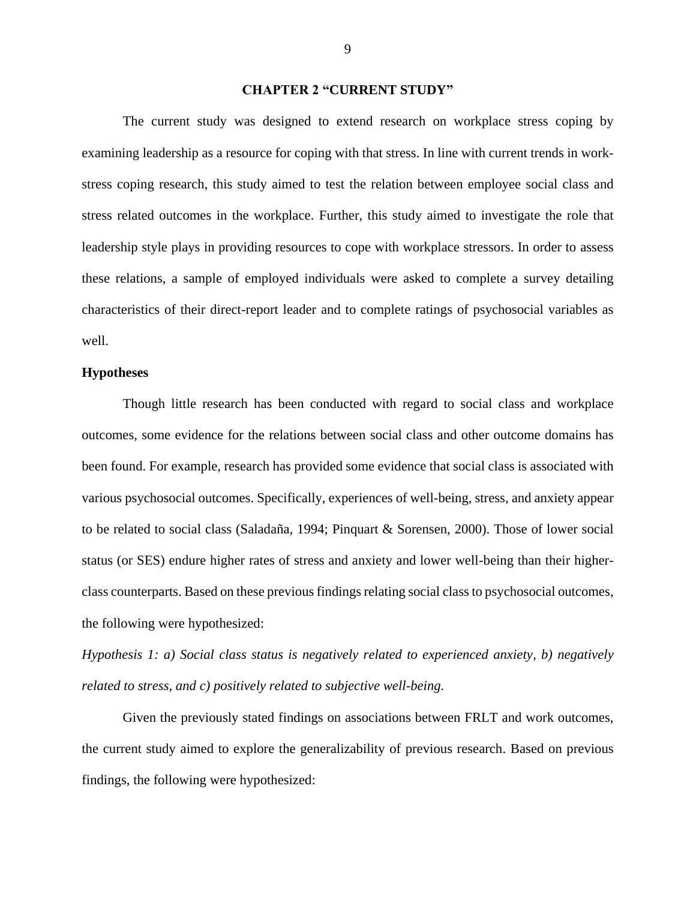#### **CHAPTER 2 "CURRENT STUDY"**

The current study was designed to extend research on workplace stress coping by examining leadership as a resource for coping with that stress. In line with current trends in workstress coping research, this study aimed to test the relation between employee social class and stress related outcomes in the workplace. Further, this study aimed to investigate the role that leadership style plays in providing resources to cope with workplace stressors. In order to assess these relations, a sample of employed individuals were asked to complete a survey detailing characteristics of their direct-report leader and to complete ratings of psychosocial variables as well.

#### **Hypotheses**

Though little research has been conducted with regard to social class and workplace outcomes, some evidence for the relations between social class and other outcome domains has been found. For example, research has provided some evidence that social class is associated with various psychosocial outcomes. Specifically, experiences of well-being, stress, and anxiety appear to be related to social class (Saladaña, 1994; Pinquart & Sorensen, 2000). Those of lower social status (or SES) endure higher rates of stress and anxiety and lower well-being than their higherclass counterparts. Based on these previous findings relating social class to psychosocial outcomes, the following were hypothesized:

*Hypothesis 1: a) Social class status is negatively related to experienced anxiety, b) negatively related to stress, and c) positively related to subjective well-being.*

Given the previously stated findings on associations between FRLT and work outcomes, the current study aimed to explore the generalizability of previous research. Based on previous findings, the following were hypothesized:

9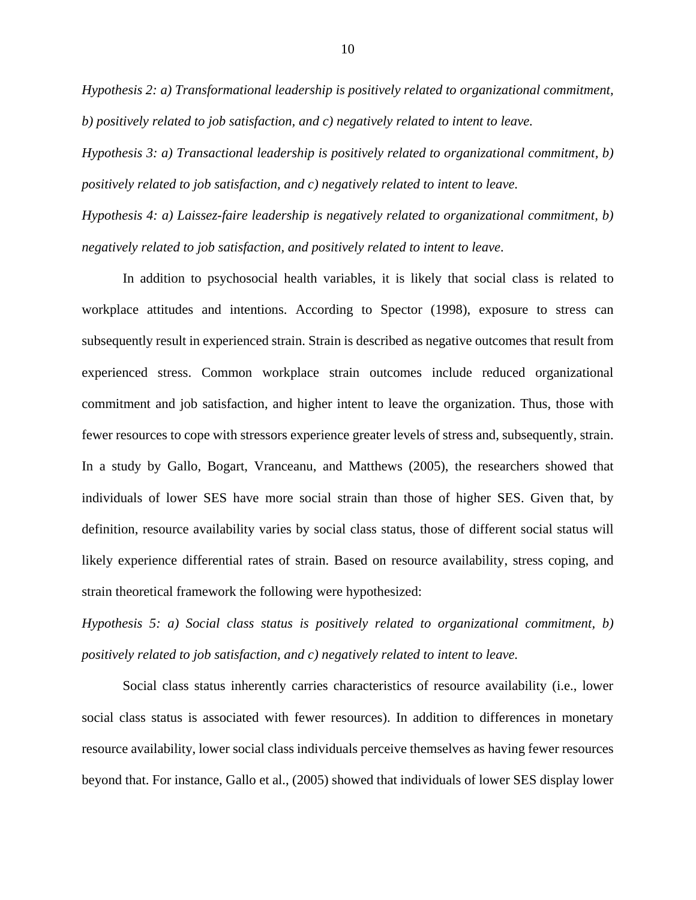*Hypothesis 2: a) Transformational leadership is positively related to organizational commitment, b) positively related to job satisfaction, and c) negatively related to intent to leave.*

*Hypothesis 3: a) Transactional leadership is positively related to organizational commitment, b) positively related to job satisfaction, and c) negatively related to intent to leave.*

*Hypothesis 4: a) Laissez-faire leadership is negatively related to organizational commitment, b) negatively related to job satisfaction, and positively related to intent to leave.*

In addition to psychosocial health variables, it is likely that social class is related to workplace attitudes and intentions. According to Spector (1998), exposure to stress can subsequently result in experienced strain. Strain is described as negative outcomes that result from experienced stress. Common workplace strain outcomes include reduced organizational commitment and job satisfaction, and higher intent to leave the organization. Thus, those with fewer resources to cope with stressors experience greater levels of stress and, subsequently, strain. In a study by Gallo, Bogart, Vranceanu, and Matthews (2005), the researchers showed that individuals of lower SES have more social strain than those of higher SES. Given that, by definition, resource availability varies by social class status, those of different social status will likely experience differential rates of strain. Based on resource availability, stress coping, and strain theoretical framework the following were hypothesized:

*Hypothesis 5: a) Social class status is positively related to organizational commitment, b) positively related to job satisfaction, and c) negatively related to intent to leave.*

Social class status inherently carries characteristics of resource availability (i.e., lower social class status is associated with fewer resources). In addition to differences in monetary resource availability, lower social class individuals perceive themselves as having fewer resources beyond that. For instance, Gallo et al., (2005) showed that individuals of lower SES display lower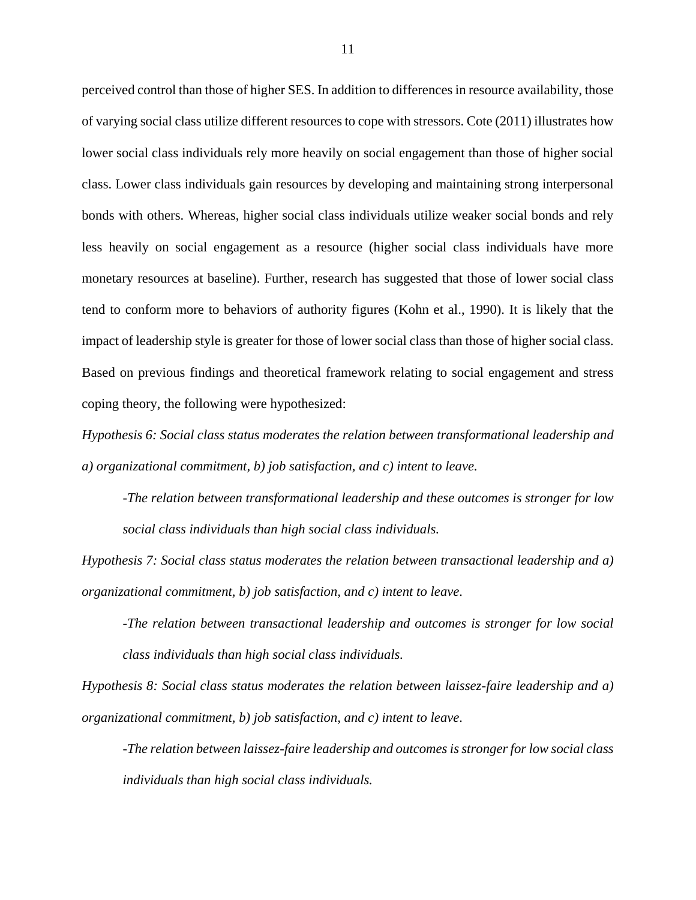perceived control than those of higher SES. In addition to differences in resource availability, those of varying social class utilize different resources to cope with stressors. Cote (2011) illustrates how lower social class individuals rely more heavily on social engagement than those of higher social class. Lower class individuals gain resources by developing and maintaining strong interpersonal bonds with others. Whereas, higher social class individuals utilize weaker social bonds and rely less heavily on social engagement as a resource (higher social class individuals have more monetary resources at baseline). Further, research has suggested that those of lower social class tend to conform more to behaviors of authority figures (Kohn et al., 1990). It is likely that the impact of leadership style is greater for those of lower social class than those of higher social class. Based on previous findings and theoretical framework relating to social engagement and stress coping theory, the following were hypothesized:

*Hypothesis 6: Social class status moderates the relation between transformational leadership and a) organizational commitment, b) job satisfaction, and c) intent to leave.* 

*-The relation between transformational leadership and these outcomes is stronger for low social class individuals than high social class individuals.*

*Hypothesis 7: Social class status moderates the relation between transactional leadership and a) organizational commitment, b) job satisfaction, and c) intent to leave.* 

*-The relation between transactional leadership and outcomes is stronger for low social class individuals than high social class individuals.*

*Hypothesis 8: Social class status moderates the relation between laissez-faire leadership and a) organizational commitment, b) job satisfaction, and c) intent to leave.* 

*-The relation between laissez-faire leadership and outcomes is stronger for low social class individuals than high social class individuals.*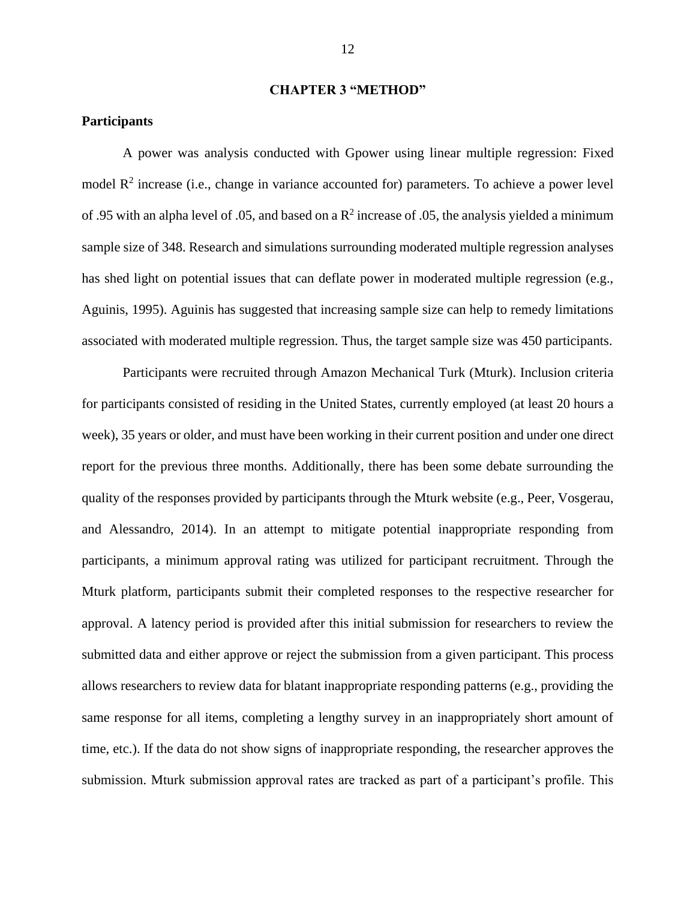#### **CHAPTER 3 "METHOD"**

# **Participants**

A power was analysis conducted with Gpower using linear multiple regression: Fixed model  $\mathbb{R}^2$  increase (i.e., change in variance accounted for) parameters. To achieve a power level of .95 with an alpha level of .05, and based on a  $\mathbb{R}^2$  increase of .05, the analysis yielded a minimum sample size of 348. Research and simulations surrounding moderated multiple regression analyses has shed light on potential issues that can deflate power in moderated multiple regression (e.g., Aguinis, 1995). Aguinis has suggested that increasing sample size can help to remedy limitations associated with moderated multiple regression. Thus, the target sample size was 450 participants.

Participants were recruited through Amazon Mechanical Turk (Mturk). Inclusion criteria for participants consisted of residing in the United States, currently employed (at least 20 hours a week), 35 years or older, and must have been working in their current position and under one direct report for the previous three months. Additionally, there has been some debate surrounding the quality of the responses provided by participants through the Mturk website (e.g., Peer, Vosgerau, and Alessandro, 2014). In an attempt to mitigate potential inappropriate responding from participants, a minimum approval rating was utilized for participant recruitment. Through the Mturk platform, participants submit their completed responses to the respective researcher for approval. A latency period is provided after this initial submission for researchers to review the submitted data and either approve or reject the submission from a given participant. This process allows researchers to review data for blatant inappropriate responding patterns (e.g., providing the same response for all items, completing a lengthy survey in an inappropriately short amount of time, etc.). If the data do not show signs of inappropriate responding, the researcher approves the submission. Mturk submission approval rates are tracked as part of a participant's profile. This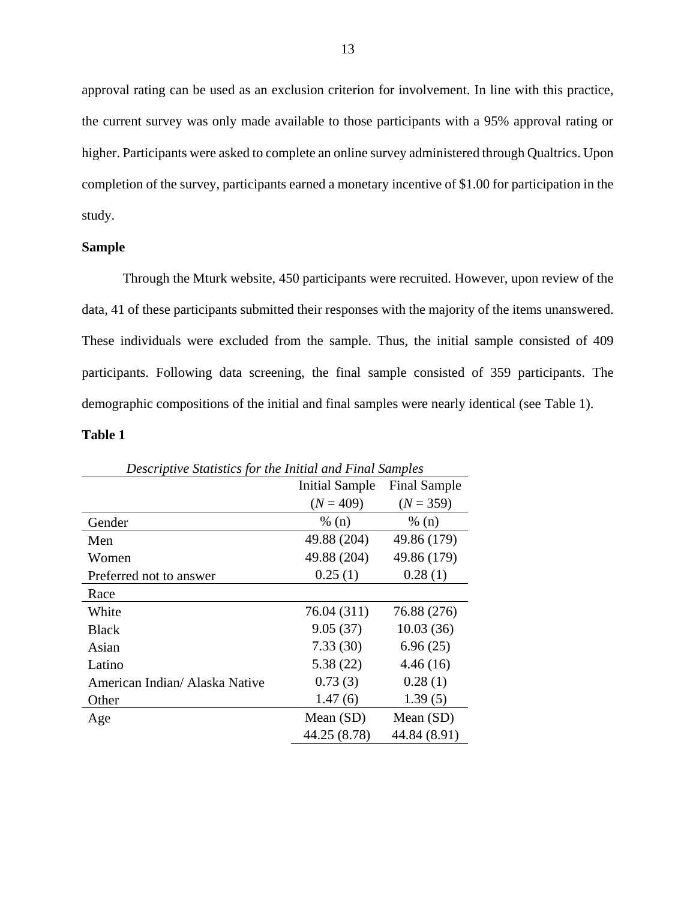approval rating can be used as an exclusion criterion for involvement. In line with this practice, the current survey was only made available to those participants with a 95% approval rating or higher. Participants were asked to complete an online survey administered through Qualtrics. Upon completion of the survey, participants earned a monetary incentive of \$1.00 for participation in the study.

#### **Sample**

Through the Mturk website, 450 participants were recruited. However, upon review of the data, 41 of these participants submitted their responses with the majority of the items unanswered. These individuals were excluded from the sample. Thus, the initial sample consisted of 409 participants. Following data screening, the final sample consisted of 359 participants. The demographic compositions of the initial and final samples were nearly identical (see Table 1).

## **Table 1**

| Descriptive Statistics for the Initial and Final Samples |                       |                     |  |  |  |  |
|----------------------------------------------------------|-----------------------|---------------------|--|--|--|--|
|                                                          | <b>Initial Sample</b> | <b>Final Sample</b> |  |  |  |  |
|                                                          | $(N = 409)$           | $(N = 359)$         |  |  |  |  |
| Gender                                                   | % (n)                 | % (n)               |  |  |  |  |
| Men                                                      | 49.88 (204)           | 49.86 (179)         |  |  |  |  |
| Women                                                    | 49.88 (204)           | 49.86 (179)         |  |  |  |  |
| Preferred not to answer                                  | 0.25(1)               | 0.28(1)             |  |  |  |  |
| Race                                                     |                       |                     |  |  |  |  |
| White                                                    | 76.04 (311)           | 76.88 (276)         |  |  |  |  |
| <b>Black</b>                                             | 9.05(37)              | 10.03(36)           |  |  |  |  |
| Asian                                                    | 7.33(30)              | 6.96(25)            |  |  |  |  |
| Latino                                                   | 5.38(22)              | 4.46(16)            |  |  |  |  |
| American Indian/Alaska Native                            | 0.73(3)               | 0.28(1)             |  |  |  |  |
| Other                                                    | 1.47(6)               | 1.39(5)             |  |  |  |  |
| Age                                                      | Mean $(SD)$           | Mean $(SD)$         |  |  |  |  |
|                                                          | 44.25 (8.78)          | 44.84 (8.91)        |  |  |  |  |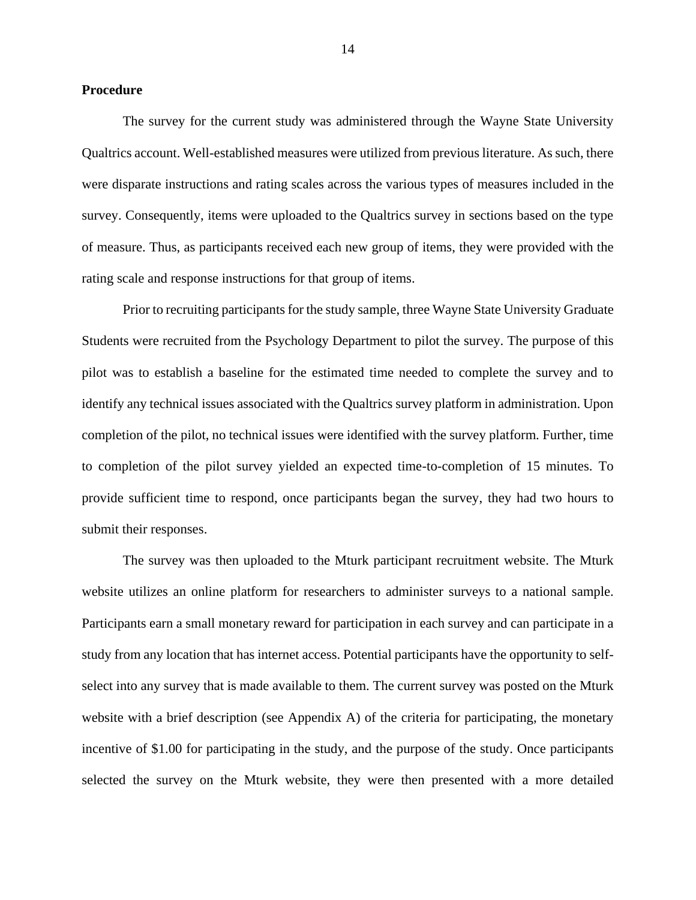#### **Procedure**

The survey for the current study was administered through the Wayne State University Qualtrics account. Well-established measures were utilized from previous literature. As such, there were disparate instructions and rating scales across the various types of measures included in the survey. Consequently, items were uploaded to the Qualtrics survey in sections based on the type of measure. Thus, as participants received each new group of items, they were provided with the rating scale and response instructions for that group of items.

Prior to recruiting participants for the study sample, three Wayne State University Graduate Students were recruited from the Psychology Department to pilot the survey. The purpose of this pilot was to establish a baseline for the estimated time needed to complete the survey and to identify any technical issues associated with the Qualtrics survey platform in administration. Upon completion of the pilot, no technical issues were identified with the survey platform. Further, time to completion of the pilot survey yielded an expected time-to-completion of 15 minutes. To provide sufficient time to respond, once participants began the survey, they had two hours to submit their responses.

The survey was then uploaded to the Mturk participant recruitment website. The Mturk website utilizes an online platform for researchers to administer surveys to a national sample. Participants earn a small monetary reward for participation in each survey and can participate in a study from any location that has internet access. Potential participants have the opportunity to selfselect into any survey that is made available to them. The current survey was posted on the Mturk website with a brief description (see Appendix A) of the criteria for participating, the monetary incentive of \$1.00 for participating in the study, and the purpose of the study. Once participants selected the survey on the Mturk website, they were then presented with a more detailed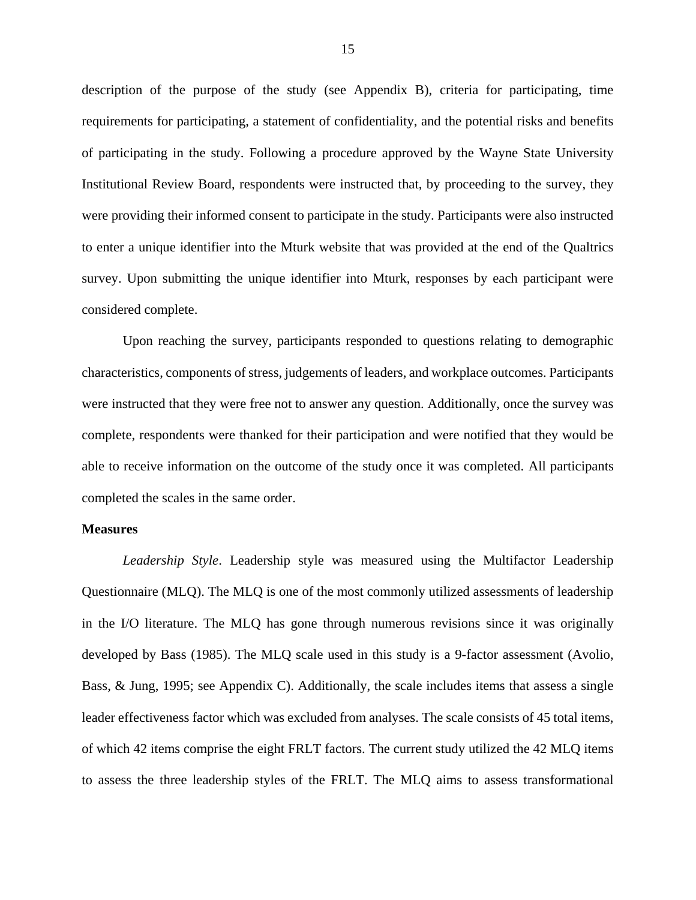description of the purpose of the study (see Appendix B), criteria for participating, time requirements for participating, a statement of confidentiality, and the potential risks and benefits of participating in the study. Following a procedure approved by the Wayne State University Institutional Review Board, respondents were instructed that, by proceeding to the survey, they were providing their informed consent to participate in the study. Participants were also instructed to enter a unique identifier into the Mturk website that was provided at the end of the Qualtrics survey. Upon submitting the unique identifier into Mturk, responses by each participant were considered complete.

Upon reaching the survey, participants responded to questions relating to demographic characteristics, components of stress, judgements of leaders, and workplace outcomes. Participants were instructed that they were free not to answer any question. Additionally, once the survey was complete, respondents were thanked for their participation and were notified that they would be able to receive information on the outcome of the study once it was completed. All participants completed the scales in the same order.

#### **Measures**

*Leadership Style*. Leadership style was measured using the Multifactor Leadership Questionnaire (MLQ). The MLQ is one of the most commonly utilized assessments of leadership in the I/O literature. The MLQ has gone through numerous revisions since it was originally developed by Bass (1985). The MLQ scale used in this study is a 9-factor assessment (Avolio, Bass, & Jung, 1995; see Appendix C). Additionally, the scale includes items that assess a single leader effectiveness factor which was excluded from analyses. The scale consists of 45 total items, of which 42 items comprise the eight FRLT factors. The current study utilized the 42 MLQ items to assess the three leadership styles of the FRLT. The MLQ aims to assess transformational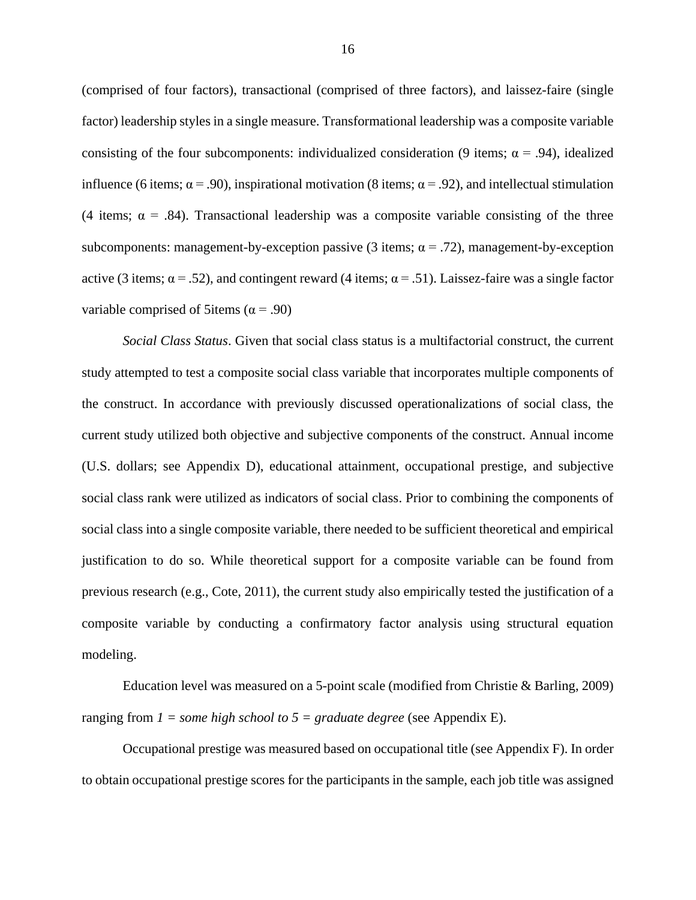(comprised of four factors), transactional (comprised of three factors), and laissez-faire (single factor) leadership styles in a single measure. Transformational leadership was a composite variable consisting of the four subcomponents: individualized consideration (9 items;  $\alpha = .94$ ), idealized influence (6 items;  $\alpha$  = .90), inspirational motivation (8 items;  $\alpha$  = .92), and intellectual stimulation (4 items;  $\alpha$  = .84). Transactional leadership was a composite variable consisting of the three subcomponents: management-by-exception passive (3 items;  $\alpha$  = .72), management-by-exception active (3 items;  $\alpha = .52$ ), and contingent reward (4 items;  $\alpha = .51$ ). Laissez-faire was a single factor variable comprised of 5items ( $\alpha$  = .90)

*Social Class Status*. Given that social class status is a multifactorial construct, the current study attempted to test a composite social class variable that incorporates multiple components of the construct. In accordance with previously discussed operationalizations of social class, the current study utilized both objective and subjective components of the construct. Annual income (U.S. dollars; see Appendix D), educational attainment, occupational prestige, and subjective social class rank were utilized as indicators of social class. Prior to combining the components of social class into a single composite variable, there needed to be sufficient theoretical and empirical justification to do so. While theoretical support for a composite variable can be found from previous research (e.g., Cote, 2011), the current study also empirically tested the justification of a composite variable by conducting a confirmatory factor analysis using structural equation modeling.

Education level was measured on a 5-point scale (modified from Christie & Barling, 2009) ranging from  $I = some high school to 5 = graduate degree (see Appendix E).$ 

Occupational prestige was measured based on occupational title (see Appendix F). In order to obtain occupational prestige scores for the participants in the sample, each job title was assigned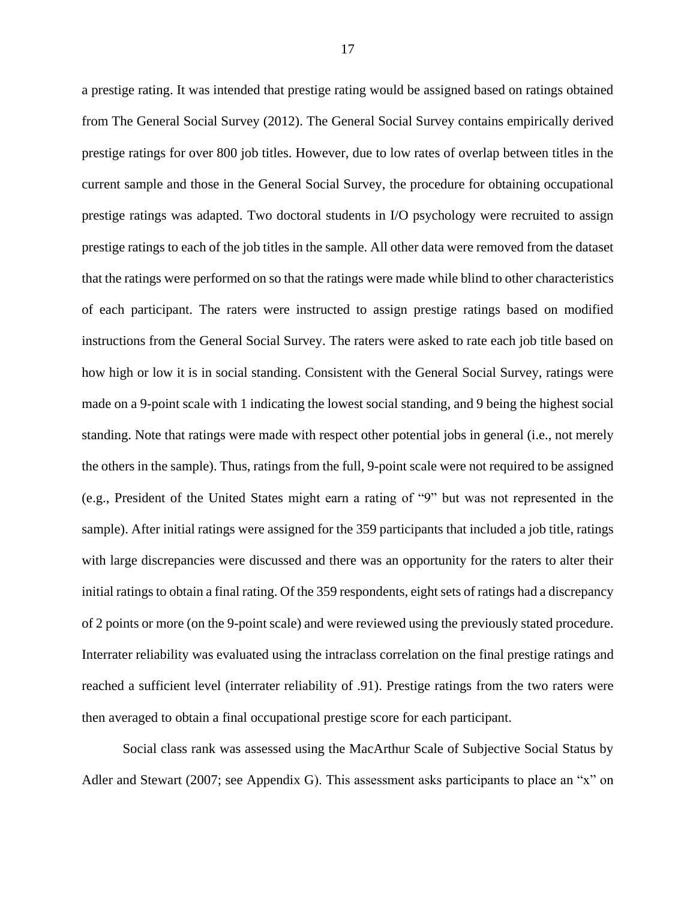a prestige rating. It was intended that prestige rating would be assigned based on ratings obtained from The General Social Survey (2012). The General Social Survey contains empirically derived prestige ratings for over 800 job titles. However, due to low rates of overlap between titles in the current sample and those in the General Social Survey, the procedure for obtaining occupational prestige ratings was adapted. Two doctoral students in I/O psychology were recruited to assign prestige ratings to each of the job titles in the sample. All other data were removed from the dataset that the ratings were performed on so that the ratings were made while blind to other characteristics of each participant. The raters were instructed to assign prestige ratings based on modified instructions from the General Social Survey. The raters were asked to rate each job title based on how high or low it is in social standing. Consistent with the General Social Survey, ratings were made on a 9-point scale with 1 indicating the lowest social standing, and 9 being the highest social standing. Note that ratings were made with respect other potential jobs in general (i.e., not merely the others in the sample). Thus, ratings from the full, 9-point scale were not required to be assigned (e.g., President of the United States might earn a rating of "9" but was not represented in the sample). After initial ratings were assigned for the 359 participants that included a job title, ratings with large discrepancies were discussed and there was an opportunity for the raters to alter their initial ratings to obtain a final rating. Of the 359 respondents, eight sets of ratings had a discrepancy of 2 points or more (on the 9-point scale) and were reviewed using the previously stated procedure. Interrater reliability was evaluated using the intraclass correlation on the final prestige ratings and reached a sufficient level (interrater reliability of .91). Prestige ratings from the two raters were then averaged to obtain a final occupational prestige score for each participant.

Social class rank was assessed using the MacArthur Scale of Subjective Social Status by Adler and Stewart (2007; see Appendix G). This assessment asks participants to place an "x" on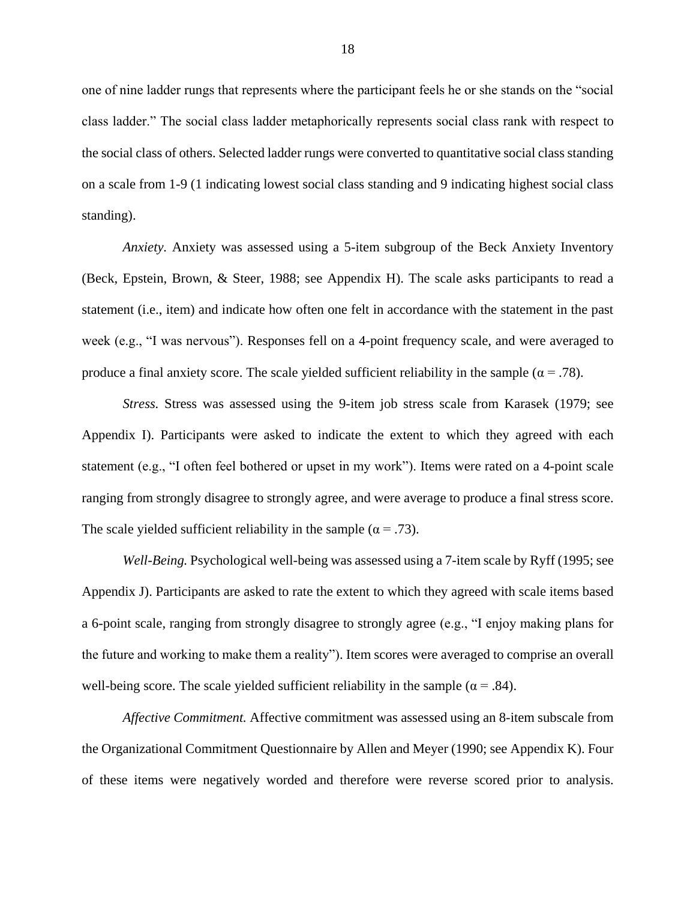one of nine ladder rungs that represents where the participant feels he or she stands on the "social class ladder." The social class ladder metaphorically represents social class rank with respect to the social class of others. Selected ladder rungs were converted to quantitative social class standing on a scale from 1-9 (1 indicating lowest social class standing and 9 indicating highest social class standing).

*Anxiety.* Anxiety was assessed using a 5-item subgroup of the Beck Anxiety Inventory (Beck, Epstein, Brown, & Steer, 1988; see Appendix H). The scale asks participants to read a statement (i.e., item) and indicate how often one felt in accordance with the statement in the past week (e.g., "I was nervous"). Responses fell on a 4-point frequency scale, and were averaged to produce a final anxiety score. The scale yielded sufficient reliability in the sample ( $\alpha$  = .78).

*Stress.* Stress was assessed using the 9-item job stress scale from Karasek (1979; see Appendix I). Participants were asked to indicate the extent to which they agreed with each statement (e.g., "I often feel bothered or upset in my work"). Items were rated on a 4-point scale ranging from strongly disagree to strongly agree, and were average to produce a final stress score. The scale yielded sufficient reliability in the sample ( $\alpha$  = .73).

*Well-Being.* Psychological well-being was assessed using a 7-item scale by Ryff (1995; see Appendix J). Participants are asked to rate the extent to which they agreed with scale items based a 6-point scale, ranging from strongly disagree to strongly agree (e.g., "I enjoy making plans for the future and working to make them a reality"). Item scores were averaged to comprise an overall well-being score. The scale yielded sufficient reliability in the sample ( $\alpha$  = .84).

*Affective Commitment.* Affective commitment was assessed using an 8-item subscale from the Organizational Commitment Questionnaire by Allen and Meyer (1990; see Appendix K). Four of these items were negatively worded and therefore were reverse scored prior to analysis.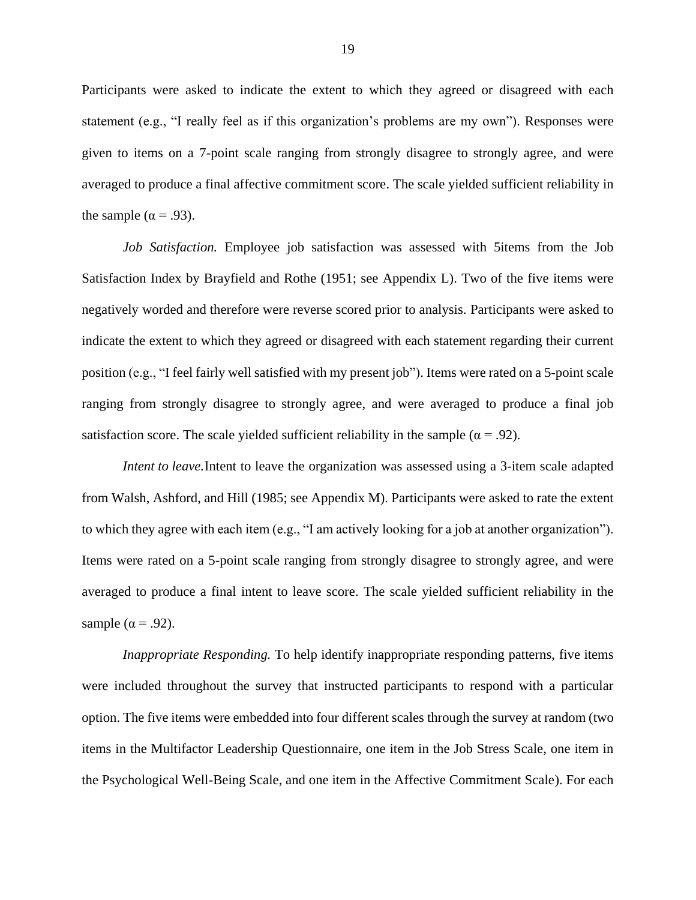Participants were asked to indicate the extent to which they agreed or disagreed with each statement (e.g., "I really feel as if this organization's problems are my own"). Responses were given to items on a 7-point scale ranging from strongly disagree to strongly agree, and were averaged to produce a final affective commitment score. The scale yielded sufficient reliability in the sample ( $\alpha$  = .93).

*Job Satisfaction.* Employee job satisfaction was assessed with 5items from the Job Satisfaction Index by Brayfield and Rothe (1951; see Appendix L). Two of the five items were negatively worded and therefore were reverse scored prior to analysis. Participants were asked to indicate the extent to which they agreed or disagreed with each statement regarding their current position (e.g., "I feel fairly well satisfied with my present job"). Items were rated on a 5-point scale ranging from strongly disagree to strongly agree, and were averaged to produce a final job satisfaction score. The scale yielded sufficient reliability in the sample ( $\alpha$  = .92).

*Intent to leave.* Intent to leave the organization was assessed using a 3-item scale adapted from Walsh, Ashford, and Hill (1985; see Appendix M). Participants were asked to rate the extent to which they agree with each item (e.g., "I am actively looking for a job at another organization"). Items were rated on a 5-point scale ranging from strongly disagree to strongly agree, and were averaged to produce a final intent to leave score. The scale yielded sufficient reliability in the sample ( $\alpha$  = .92).

*Inappropriate Responding.* To help identify inappropriate responding patterns, five items were included throughout the survey that instructed participants to respond with a particular option. The five items were embedded into four different scales through the survey at random (two items in the Multifactor Leadership Questionnaire, one item in the Job Stress Scale, one item in the Psychological Well-Being Scale, and one item in the Affective Commitment Scale). For each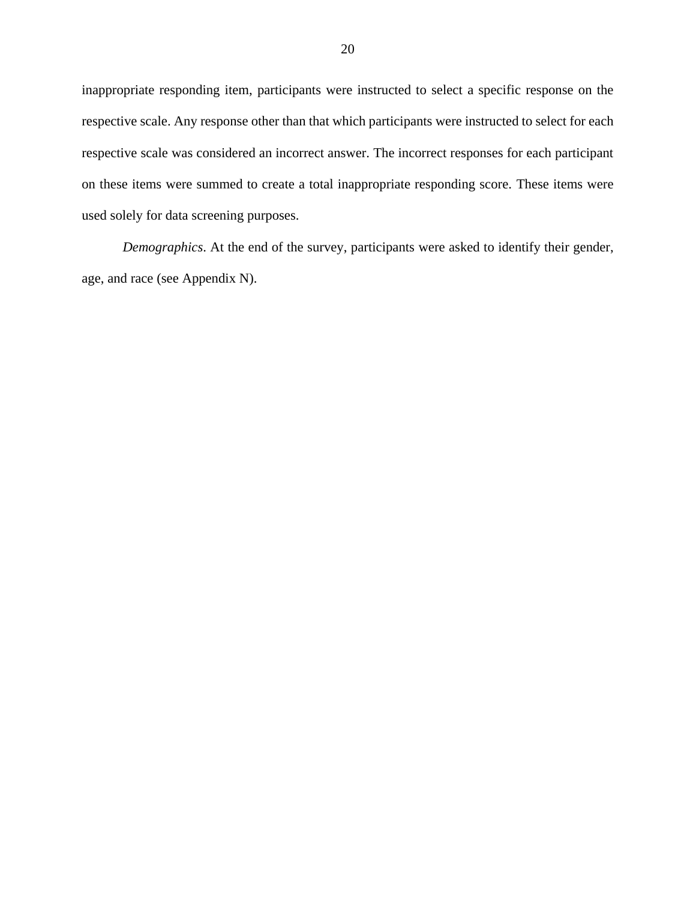inappropriate responding item, participants were instructed to select a specific response on the respective scale. Any response other than that which participants were instructed to select for each respective scale was considered an incorrect answer. The incorrect responses for each participant on these items were summed to create a total inappropriate responding score. These items were used solely for data screening purposes.

*Demographics*. At the end of the survey, participants were asked to identify their gender, age, and race (see Appendix N).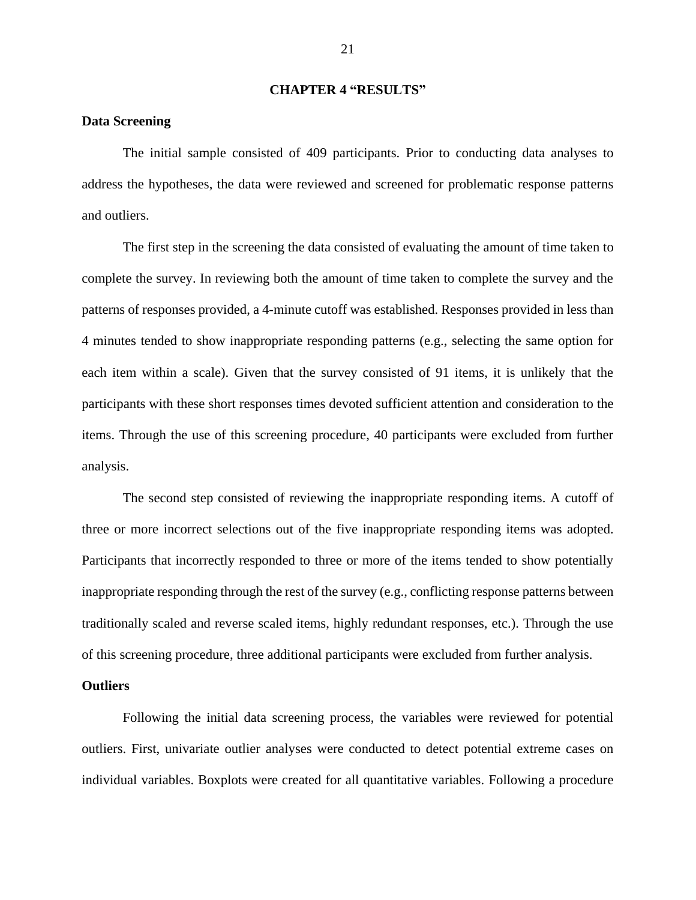#### **CHAPTER 4 "RESULTS"**

#### **Data Screening**

The initial sample consisted of 409 participants. Prior to conducting data analyses to address the hypotheses, the data were reviewed and screened for problematic response patterns and outliers.

The first step in the screening the data consisted of evaluating the amount of time taken to complete the survey. In reviewing both the amount of time taken to complete the survey and the patterns of responses provided, a 4-minute cutoff was established. Responses provided in less than 4 minutes tended to show inappropriate responding patterns (e.g., selecting the same option for each item within a scale). Given that the survey consisted of 91 items, it is unlikely that the participants with these short responses times devoted sufficient attention and consideration to the items. Through the use of this screening procedure, 40 participants were excluded from further analysis.

The second step consisted of reviewing the inappropriate responding items. A cutoff of three or more incorrect selections out of the five inappropriate responding items was adopted. Participants that incorrectly responded to three or more of the items tended to show potentially inappropriate responding through the rest of the survey (e.g., conflicting response patterns between traditionally scaled and reverse scaled items, highly redundant responses, etc.). Through the use of this screening procedure, three additional participants were excluded from further analysis.

#### **Outliers**

Following the initial data screening process, the variables were reviewed for potential outliers. First, univariate outlier analyses were conducted to detect potential extreme cases on individual variables. Boxplots were created for all quantitative variables. Following a procedure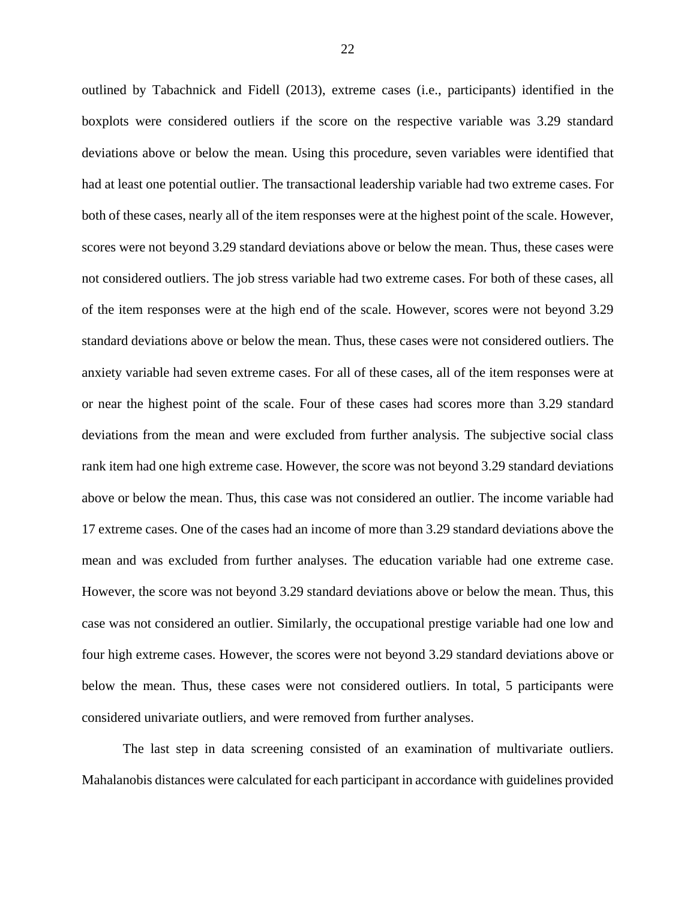outlined by Tabachnick and Fidell (2013), extreme cases (i.e., participants) identified in the boxplots were considered outliers if the score on the respective variable was 3.29 standard deviations above or below the mean. Using this procedure, seven variables were identified that had at least one potential outlier. The transactional leadership variable had two extreme cases. For both of these cases, nearly all of the item responses were at the highest point of the scale. However, scores were not beyond 3.29 standard deviations above or below the mean. Thus, these cases were not considered outliers. The job stress variable had two extreme cases. For both of these cases, all of the item responses were at the high end of the scale. However, scores were not beyond 3.29 standard deviations above or below the mean. Thus, these cases were not considered outliers. The anxiety variable had seven extreme cases. For all of these cases, all of the item responses were at or near the highest point of the scale. Four of these cases had scores more than 3.29 standard deviations from the mean and were excluded from further analysis. The subjective social class rank item had one high extreme case. However, the score was not beyond 3.29 standard deviations above or below the mean. Thus, this case was not considered an outlier. The income variable had 17 extreme cases. One of the cases had an income of more than 3.29 standard deviations above the mean and was excluded from further analyses. The education variable had one extreme case. However, the score was not beyond 3.29 standard deviations above or below the mean. Thus, this case was not considered an outlier. Similarly, the occupational prestige variable had one low and four high extreme cases. However, the scores were not beyond 3.29 standard deviations above or below the mean. Thus, these cases were not considered outliers. In total, 5 participants were considered univariate outliers, and were removed from further analyses.

The last step in data screening consisted of an examination of multivariate outliers. Mahalanobis distances were calculated for each participant in accordance with guidelines provided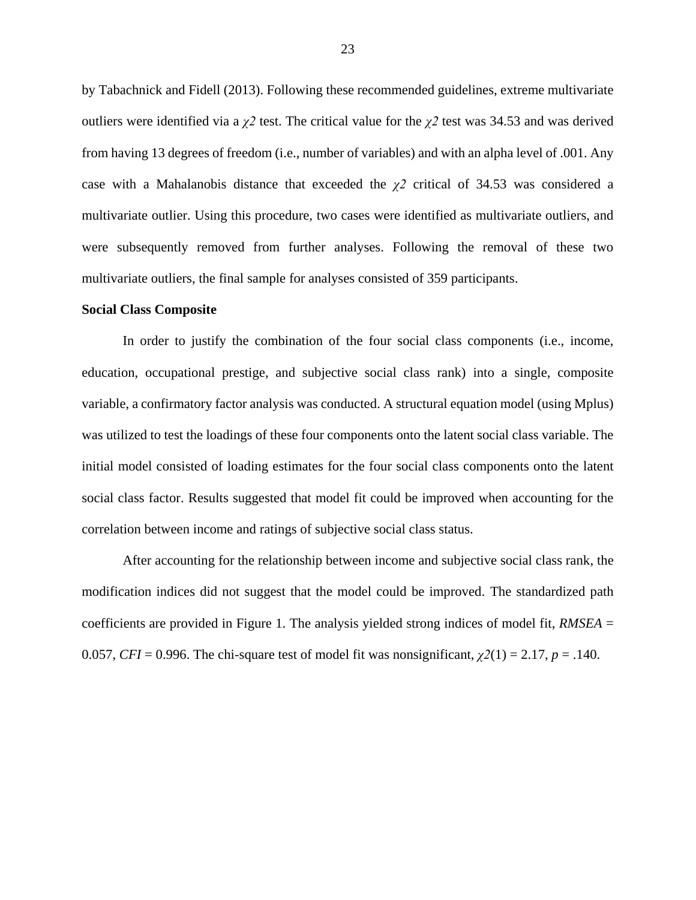by Tabachnick and Fidell (2013). Following these recommended guidelines, extreme multivariate outliers were identified via a  $\chi^2$  test. The critical value for the  $\chi^2$  test was 34.53 and was derived from having 13 degrees of freedom (i.e., number of variables) and with an alpha level of .001. Any case with a Mahalanobis distance that exceeded the *χ2* critical of 34.53 was considered a multivariate outlier. Using this procedure, two cases were identified as multivariate outliers, and were subsequently removed from further analyses. Following the removal of these two multivariate outliers, the final sample for analyses consisted of 359 participants.

#### **Social Class Composite**

In order to justify the combination of the four social class components (i.e., income, education, occupational prestige, and subjective social class rank) into a single, composite variable, a confirmatory factor analysis was conducted. A structural equation model (using Mplus) was utilized to test the loadings of these four components onto the latent social class variable. The initial model consisted of loading estimates for the four social class components onto the latent social class factor. Results suggested that model fit could be improved when accounting for the correlation between income and ratings of subjective social class status.

After accounting for the relationship between income and subjective social class rank, the modification indices did not suggest that the model could be improved. The standardized path coefficients are provided in Figure 1. The analysis yielded strong indices of model fit, *RMSEA* = 0.057, *CFI* = 0.996. The chi-square test of model fit was nonsignificant,  $\chi$ 2(1) = 2.17, *p* = .140.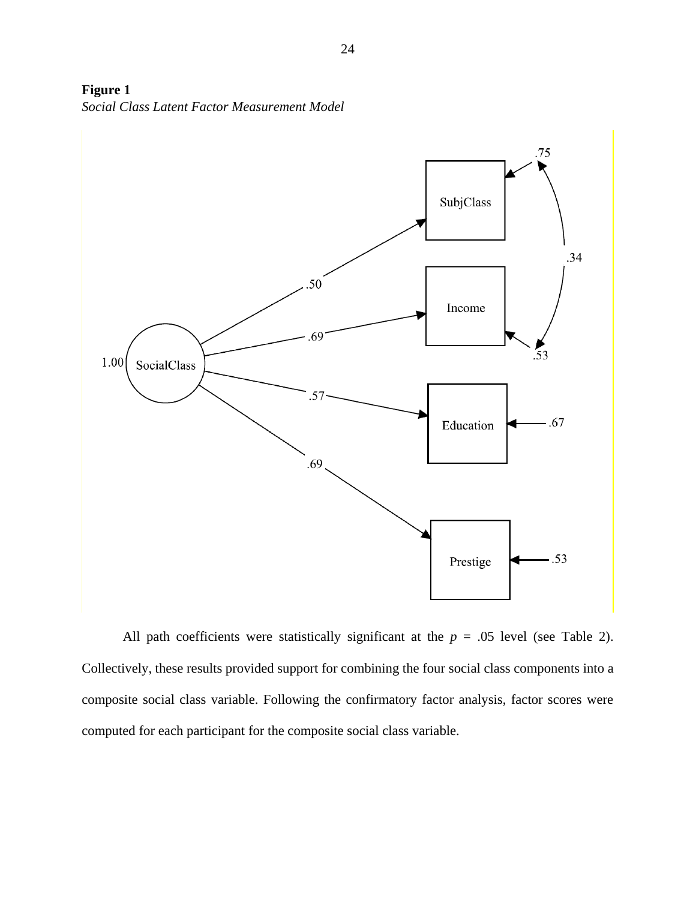<span id="page-31-0"></span>



All path coefficients were statistically significant at the  $p = .05$  level (see Table 2). Collectively, these results provided support for combining the four social class components into a composite social class variable. Following the confirmatory factor analysis, factor scores were computed for each participant for the composite social class variable.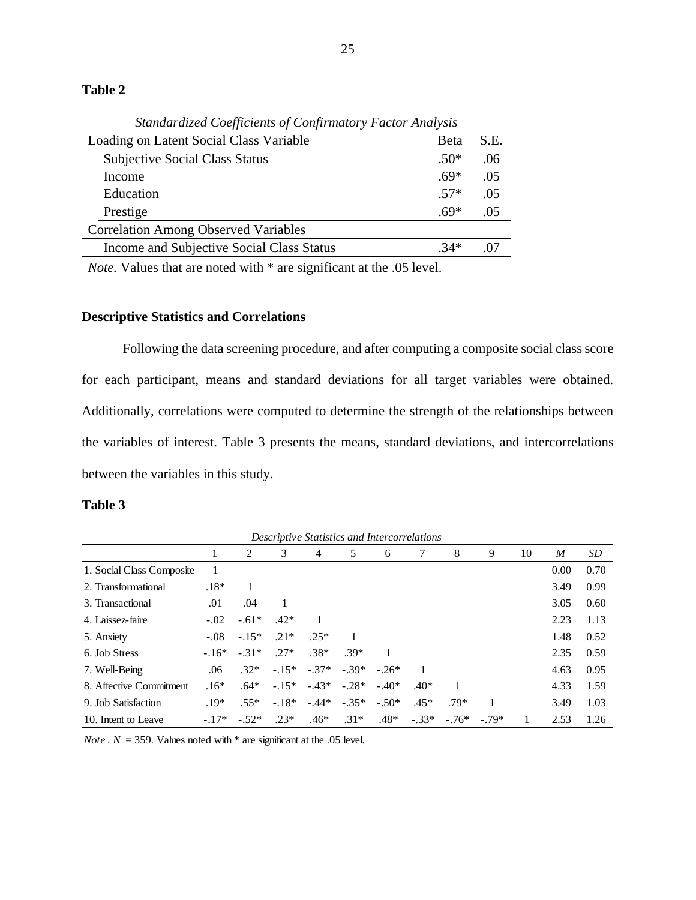# **Table 2**

| <b>Standardized Coefficients of Confirmatory Factor Analysis</b> |             |      |  |  |  |  |
|------------------------------------------------------------------|-------------|------|--|--|--|--|
| Loading on Latent Social Class Variable                          | <b>Beta</b> | S.E. |  |  |  |  |
| <b>Subjective Social Class Status</b>                            | $.50*$      | .06  |  |  |  |  |
| Income                                                           | $.69*$      | .05  |  |  |  |  |
| Education                                                        | $.57*$      | .05  |  |  |  |  |
| Prestige                                                         | $.69*$      | .05  |  |  |  |  |
| <b>Correlation Among Observed Variables</b>                      |             |      |  |  |  |  |
| Income and Subjective Social Class Status                        | $34*$       |      |  |  |  |  |

*Note.* Values that are noted with \* are significant at the .05 level.

## **Descriptive Statistics and Correlations**

Following the data screening procedure, and after computing a composite social class score for each participant, means and standard deviations for all target variables were obtained. Additionally, correlations were computed to determine the strength of the relationships between the variables of interest. Table 3 presents the means, standard deviations, and intercorrelations between the variables in this study.

## **Table 3**

*Descriptive Statistics and Intercorrelations*

|                           |         | 2       | 3       | 4       | 5       | 6       |         | 8      | 9       | 10 | M    | SD   |
|---------------------------|---------|---------|---------|---------|---------|---------|---------|--------|---------|----|------|------|
| 1. Social Class Composite |         |         |         |         |         |         |         |        |         |    | 0.00 | 0.70 |
| 2. Transformational       | $.18*$  |         |         |         |         |         |         |        |         |    | 3.49 | 0.99 |
| 3. Transactional          | .01     | .04     |         |         |         |         |         |        |         |    | 3.05 | 0.60 |
| 4. Laissez-faire          | $-.02$  | $-.61*$ | $.42*$  |         |         |         |         |        |         |    | 2.23 | 1.13 |
| 5. Anxiety                | $-.08$  | $-.15*$ | $.21*$  | $.25*$  |         |         |         |        |         |    | 1.48 | 0.52 |
| 6. Job Stress             | $-16*$  | $-31*$  | $.27*$  | $.38*$  | $39*$   |         |         |        |         |    | 2.35 | 0.59 |
| 7. Well-Being             | .06     | $.32*$  | $-.15*$ | $-.37*$ | $-39*$  | $-26*$  |         |        |         |    | 4.63 | 0.95 |
| 8. Affective Commitment   | $.16*$  | $.64*$  | $-.15*$ | $-43*$  | $-.28*$ | $-.40*$ | $.40*$  |        |         |    | 4.33 | 1.59 |
| 9. Job Satisfaction       | $.19*$  | $.55*$  | $-.18*$ | $-44*$  | $-.35*$ | $-.50*$ | $.45*$  | $.79*$ |         |    | 3.49 | 1.03 |
| 10. Intent to Leave       | $-.17*$ | $-.52*$ | $.23*$  | $.46*$  | $.31*$  | $.48*$  | $-.33*$ | $-76*$ | $-.79*$ |    | 2.53 | 1.26 |

*Note*  $N = 359$ . Values noted with  $*$  are significant at the .05 level.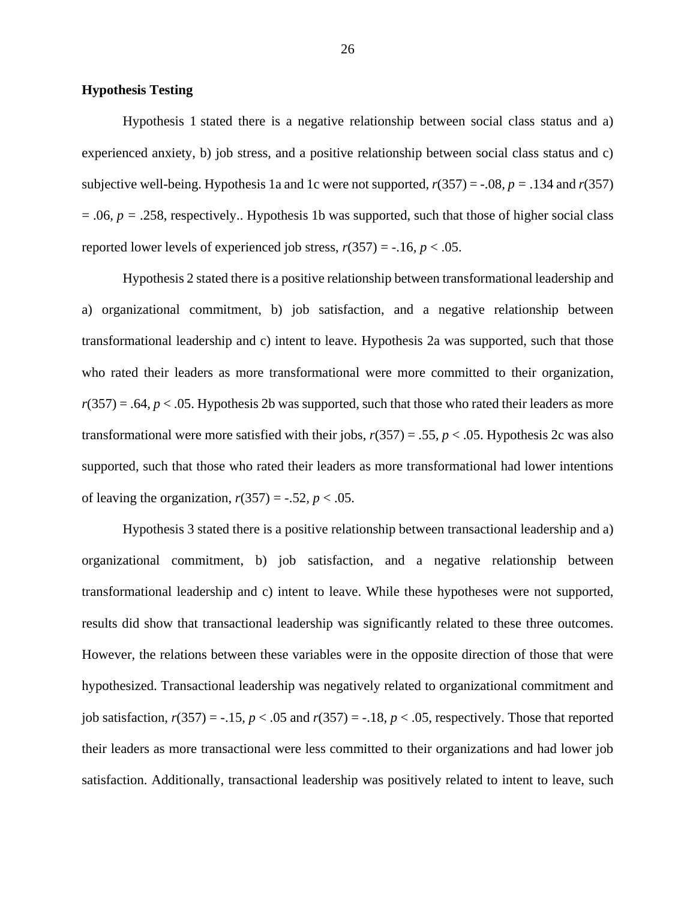## **Hypothesis Testing**

Hypothesis 1 stated there is a negative relationship between social class status and a) experienced anxiety, b) job stress, and a positive relationship between social class status and c) subjective well-being. Hypothesis 1a and 1c were not supported,  $r(357) = -0.08$ ,  $p = 0.134$  and  $r(357)$ = .06*, p =* .258, respectively.. Hypothesis 1b was supported, such that those of higher social class reported lower levels of experienced job stress,  $r(357) = -.16, p < .05$ .

Hypothesis 2 stated there is a positive relationship between transformational leadership and a) organizational commitment, b) job satisfaction, and a negative relationship between transformational leadership and c) intent to leave. Hypothesis 2a was supported, such that those who rated their leaders as more transformational were more committed to their organization,  $r(357) = .64, p < .05$ . Hypothesis 2b was supported, such that those who rated their leaders as more transformational were more satisfied with their jobs,  $r(357) = .55$ ,  $p < .05$ . Hypothesis 2c was also supported, such that those who rated their leaders as more transformational had lower intentions of leaving the organization,  $r(357) = -.52$ ,  $p < .05$ .

Hypothesis 3 stated there is a positive relationship between transactional leadership and a) organizational commitment, b) job satisfaction, and a negative relationship between transformational leadership and c) intent to leave. While these hypotheses were not supported, results did show that transactional leadership was significantly related to these three outcomes. However, the relations between these variables were in the opposite direction of those that were hypothesized. Transactional leadership was negatively related to organizational commitment and job satisfaction, *r*(357) = -.15*, p* < .05 and *r*(357) = -.18*, p* < .05, respectively. Those that reported their leaders as more transactional were less committed to their organizations and had lower job satisfaction. Additionally, transactional leadership was positively related to intent to leave, such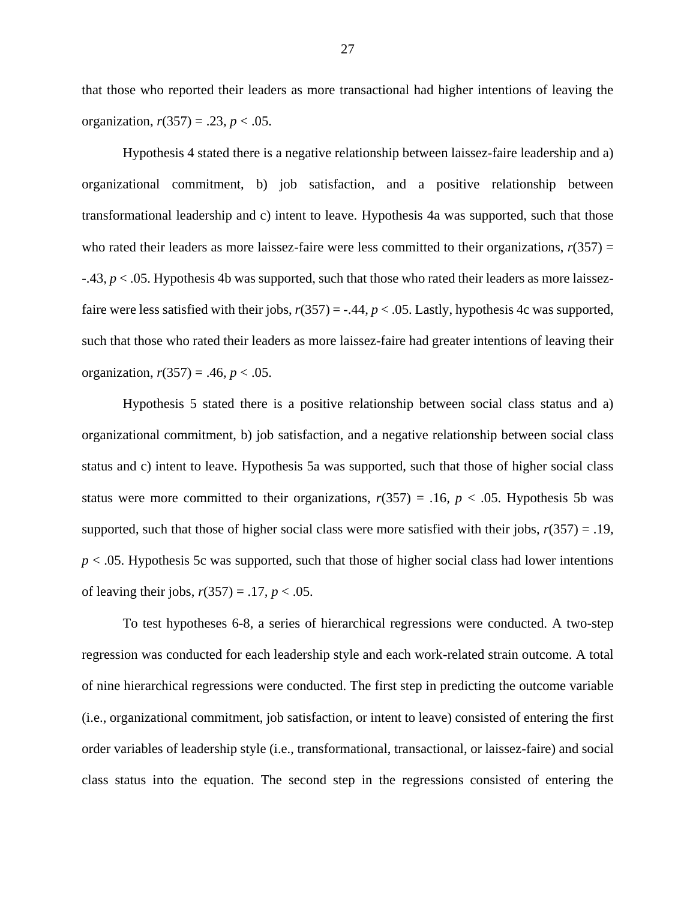that those who reported their leaders as more transactional had higher intentions of leaving the organization, *r*(357) = .23*, p* < .05.

Hypothesis 4 stated there is a negative relationship between laissez-faire leadership and a) organizational commitment, b) job satisfaction, and a positive relationship between transformational leadership and c) intent to leave. Hypothesis 4a was supported, such that those who rated their leaders as more laissez-faire were less committed to their organizations,  $r(357)$  = -.43*, p* < .05. Hypothesis 4b was supported, such that those who rated their leaders as more laissezfaire were less satisfied with their jobs,  $r(357) = -.44$ ,  $p < .05$ . Lastly, hypothesis 4c was supported, such that those who rated their leaders as more laissez-faire had greater intentions of leaving their organization, *r*(357) = .46*, p* < .05.

Hypothesis 5 stated there is a positive relationship between social class status and a) organizational commitment, b) job satisfaction, and a negative relationship between social class status and c) intent to leave. Hypothesis 5a was supported, such that those of higher social class status were more committed to their organizations,  $r(357) = .16$ ,  $p < .05$ . Hypothesis 5b was supported, such that those of higher social class were more satisfied with their jobs,  $r(357) = .19$ , *p* < .05. Hypothesis 5c was supported, such that those of higher social class had lower intentions of leaving their jobs, *r*(357) = .17*, p* < .05.

To test hypotheses 6-8, a series of hierarchical regressions were conducted. A two-step regression was conducted for each leadership style and each work-related strain outcome. A total of nine hierarchical regressions were conducted. The first step in predicting the outcome variable (i.e., organizational commitment, job satisfaction, or intent to leave) consisted of entering the first order variables of leadership style (i.e., transformational, transactional, or laissez-faire) and social class status into the equation. The second step in the regressions consisted of entering the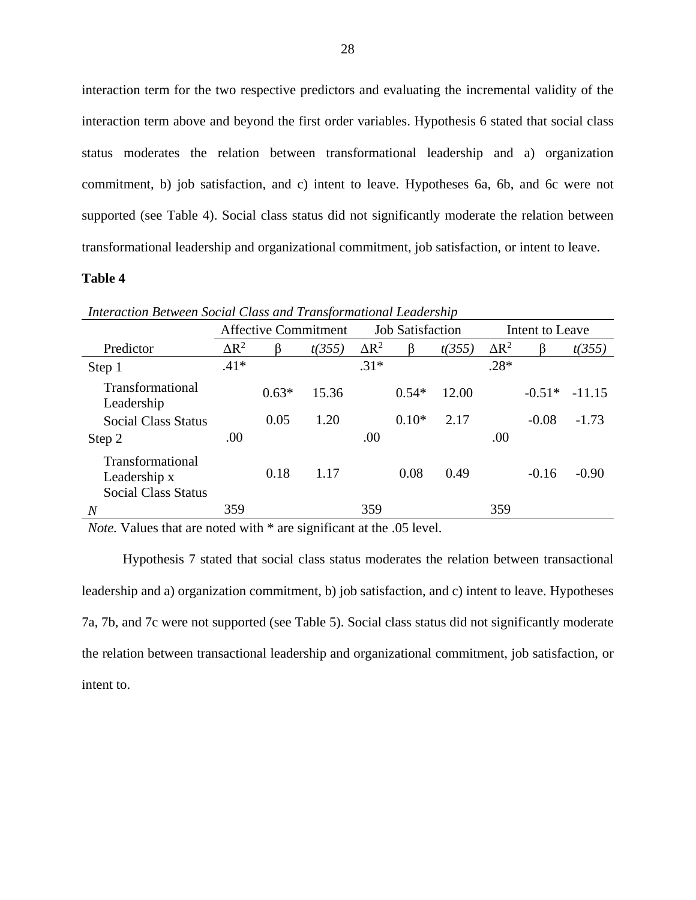interaction term for the two respective predictors and evaluating the incremental validity of the interaction term above and beyond the first order variables. Hypothesis 6 stated that social class status moderates the relation between transformational leadership and a) organization commitment, b) job satisfaction, and c) intent to leave. Hypotheses 6a, 6b, and 6c were not supported (see Table 4). Social class status did not significantly moderate the relation between transformational leadership and organizational commitment, job satisfaction, or intent to leave.

## **Table 4**

| Interaction Deliveen Social Class and Transformational Leadership |                             |         |                         |              |         |                 |              |          |          |  |
|-------------------------------------------------------------------|-----------------------------|---------|-------------------------|--------------|---------|-----------------|--------------|----------|----------|--|
|                                                                   | <b>Affective Commitment</b> |         | <b>Job Satisfaction</b> |              |         | Intent to Leave |              |          |          |  |
| Predictor                                                         | $\Delta R^2$                |         | t(355)                  | $\Delta R^2$ |         | t(355)          | $\Delta R^2$ | ß        | t(355)   |  |
| Step 1                                                            | $.41*$                      |         |                         | $.31*$       |         |                 | $.28*$       |          |          |  |
| Transformational<br>Leadership                                    |                             | $0.63*$ | 15.36                   |              | $0.54*$ | 12.00           |              | $-0.51*$ | $-11.15$ |  |
| <b>Social Class Status</b>                                        |                             | 0.05    | 1.20                    |              | $0.10*$ | 2.17            |              | $-0.08$  | $-1.73$  |  |
| Step 2                                                            | .00                         |         |                         | .00          |         |                 | .00.         |          |          |  |
| Transformational<br>Leadership x<br><b>Social Class Status</b>    |                             | 0.18    | 1.17                    |              | 0.08    | 0.49            |              | $-0.16$  | $-0.90$  |  |
| N                                                                 | 359                         |         |                         | 359          |         |                 | 359          |          |          |  |

*Interaction Between Social Class and Transformational Leadership*

*Note.* Values that are noted with \* are significant at the .05 level.

Hypothesis 7 stated that social class status moderates the relation between transactional leadership and a) organization commitment, b) job satisfaction, and c) intent to leave. Hypotheses 7a, 7b, and 7c were not supported (see Table 5). Social class status did not significantly moderate the relation between transactional leadership and organizational commitment, job satisfaction, or intent to.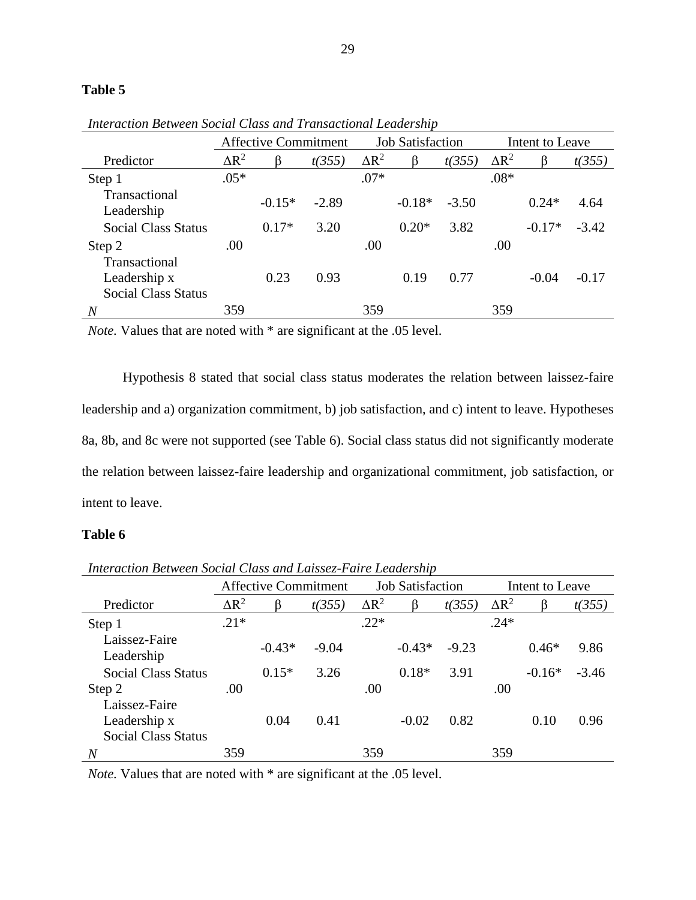## **Table 5**

|                                            |              | <b>Job Satisfaction</b><br><b>Affective Commitment</b><br>Intent to Leave |         |              |          |         |              |          |         |
|--------------------------------------------|--------------|---------------------------------------------------------------------------|---------|--------------|----------|---------|--------------|----------|---------|
| Predictor                                  | $\Delta R^2$ |                                                                           | t(355)  | $\Delta R^2$ |          | t(355)  | $\Delta R^2$ |          | t(355)  |
| Step 1                                     | $.05*$       |                                                                           |         | $.07*$       |          |         | $.08*$       |          |         |
| <b>Transactional</b><br>Leadership         |              | $-0.15*$                                                                  | $-2.89$ |              | $-0.18*$ | $-3.50$ |              | $0.24*$  | 4.64    |
| <b>Social Class Status</b>                 |              | $0.17*$                                                                   | 3.20    |              | $0.20*$  | 3.82    |              | $-0.17*$ | $-3.42$ |
| Step 2<br>Transactional                    | .00          |                                                                           |         | .00          |          |         | .00          |          |         |
| Leadership x<br><b>Social Class Status</b> |              | 0.23                                                                      | 0.93    |              | 0.19     | 0.77    |              | $-0.04$  | $-0.17$ |
| $\overline{N}$                             | 359          |                                                                           |         | 359          |          |         | 359          |          |         |

*Interaction Between Social Class and Transactional Leadership*

*Note.* Values that are noted with \* are significant at the .05 level.

Hypothesis 8 stated that social class status moderates the relation between laissez-faire leadership and a) organization commitment, b) job satisfaction, and c) intent to leave. Hypotheses 8a, 8b, and 8c were not supported (see Table 6). Social class status did not significantly moderate the relation between laissez-faire leadership and organizational commitment, job satisfaction, or intent to leave.

## **Table 6**

*Interaction Between Social Class and Laissez-Faire Leadership*

|                             | <b>Affective Commitment</b> |          | <b>Job Satisfaction</b> |              |          | Intent to Leave |              |          |         |
|-----------------------------|-----------------------------|----------|-------------------------|--------------|----------|-----------------|--------------|----------|---------|
| Predictor                   | $\Delta R^2$                |          | t(355)                  | $\Delta R^2$ |          | t(355)          | $\Delta R^2$ |          | t(355)  |
| Step 1                      | $.21*$                      |          |                         | $.22*$       |          |                 | $.24*$       |          |         |
| Laissez-Faire<br>Leadership |                             | $-0.43*$ | $-9.04$                 |              | $-0.43*$ | $-9.23$         |              | $0.46*$  | 9.86    |
| <b>Social Class Status</b>  |                             | $0.15*$  | 3.26                    |              | $0.18*$  | 3.91            |              | $-0.16*$ | $-3.46$ |
| Step 2                      | .00                         |          |                         | .00          |          |                 | .00          |          |         |
| Laissez-Faire               |                             |          |                         |              |          |                 |              |          |         |
| Leadership x                |                             | 0.04     | 0.41                    |              | $-0.02$  | 0.82            |              | 0.10     | 0.96    |
| <b>Social Class Status</b>  |                             |          |                         |              |          |                 |              |          |         |
| N                           | 359                         |          |                         | 359          |          |                 | 359          |          |         |

*Note.* Values that are noted with \* are significant at the .05 level.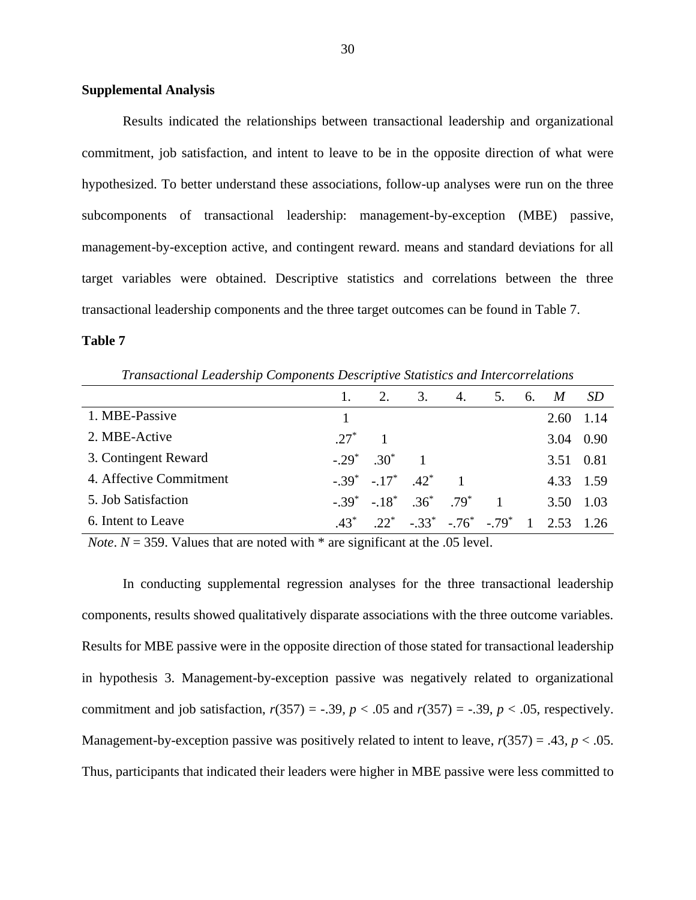#### **Supplemental Analysis**

Results indicated the relationships between transactional leadership and organizational commitment, job satisfaction, and intent to leave to be in the opposite direction of what were hypothesized. To better understand these associations, follow-up analyses were run on the three subcomponents of transactional leadership: management-by-exception (MBE) passive, management-by-exception active, and contingent reward. means and standard deviations for all target variables were obtained. Descriptive statistics and correlations between the three transactional leadership components and the three target outcomes can be found in Table 7.

#### **Table 7**

*Transactional Leadership Components Descriptive Statistics and Intercorrelations*

|                         |          |                                 | 3. | 4.       | 5.                                                     | 6. | M           | - SD      |
|-------------------------|----------|---------------------------------|----|----------|--------------------------------------------------------|----|-------------|-----------|
| 1. MBE-Passive          |          |                                 |    |          |                                                        |    | $2.60$ 1.14 |           |
| 2. MBE-Active           | $27^*$ 1 |                                 |    |          |                                                        |    | 3.04        | 0.90      |
| 3. Contingent Reward    |          | $-29^*$ $30^*$ 1                |    |          |                                                        |    | 3.51 0.81   |           |
| 4. Affective Commitment |          | $-39^*$ $-17^*$ $42^*$          |    | $\sim 1$ |                                                        |    |             | 4.33 1.59 |
| 5. Job Satisfaction     |          | $-0.39^* -18^* -0.36^* -0.79^*$ |    |          | $\overline{1}$                                         |    |             | 3.50 1.03 |
| 6. Intent to Leave      |          |                                 |    |          | $.43^*$ $.22^*$ $-.33^*$ $-.76^*$ $-.79^*$ 1 2.53 1.26 |    |             |           |

*Note*.  $N = 359$ . Values that are noted with  $*$  are significant at the .05 level.

In conducting supplemental regression analyses for the three transactional leadership components, results showed qualitatively disparate associations with the three outcome variables. Results for MBE passive were in the opposite direction of those stated for transactional leadership in hypothesis 3. Management-by-exception passive was negatively related to organizational commitment and job satisfaction,  $r(357) = -.39$ ,  $p < .05$  and  $r(357) = -.39$ ,  $p < .05$ , respectively. Management-by-exception passive was positively related to intent to leave,  $r(357) = .43$ ,  $p < .05$ . Thus, participants that indicated their leaders were higher in MBE passive were less committed to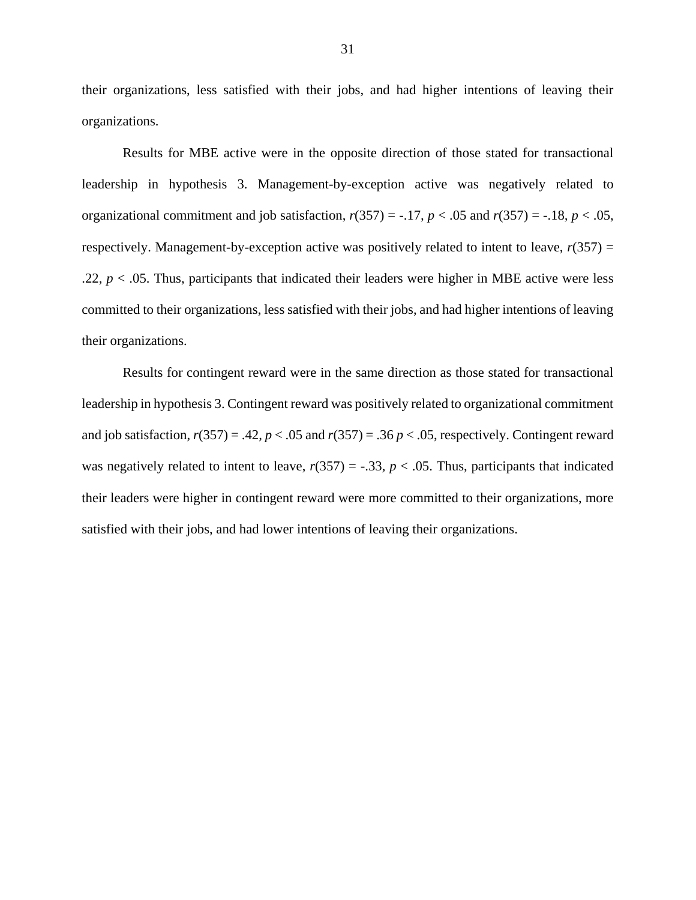their organizations, less satisfied with their jobs, and had higher intentions of leaving their organizations.

Results for MBE active were in the opposite direction of those stated for transactional leadership in hypothesis 3. Management-by-exception active was negatively related to organizational commitment and job satisfaction,  $r(357) = -.17$ ,  $p < .05$  and  $r(357) = -.18$ ,  $p < .05$ , respectively. Management-by-exception active was positively related to intent to leave,  $r(357)$  = .22*, p* < .05. Thus, participants that indicated their leaders were higher in MBE active were less committed to their organizations, less satisfied with their jobs, and had higher intentions of leaving their organizations.

Results for contingent reward were in the same direction as those stated for transactional leadership in hypothesis 3. Contingent reward was positively related to organizational commitment and job satisfaction,  $r(357) = .42$ ,  $p < .05$  and  $r(357) = .36$   $p < .05$ , respectively. Contingent reward was negatively related to intent to leave,  $r(357) = -.33$ ,  $p < .05$ . Thus, participants that indicated their leaders were higher in contingent reward were more committed to their organizations, more satisfied with their jobs, and had lower intentions of leaving their organizations.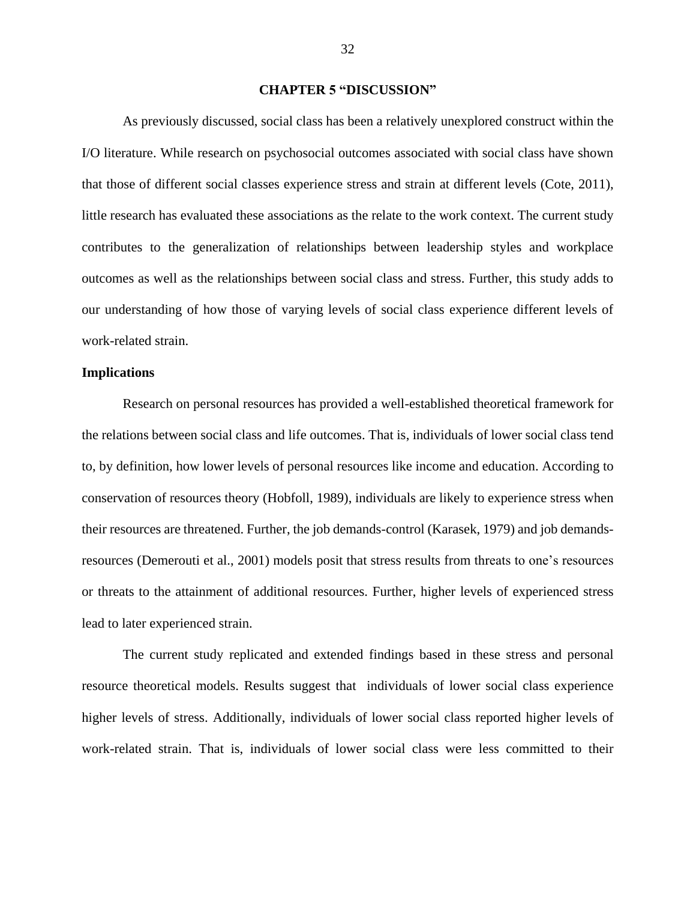#### **CHAPTER 5 "DISCUSSION"**

As previously discussed, social class has been a relatively unexplored construct within the I/O literature. While research on psychosocial outcomes associated with social class have shown that those of different social classes experience stress and strain at different levels (Cote, 2011), little research has evaluated these associations as the relate to the work context. The current study contributes to the generalization of relationships between leadership styles and workplace outcomes as well as the relationships between social class and stress. Further, this study adds to our understanding of how those of varying levels of social class experience different levels of work-related strain.

#### **Implications**

Research on personal resources has provided a well-established theoretical framework for the relations between social class and life outcomes. That is, individuals of lower social class tend to, by definition, how lower levels of personal resources like income and education. According to conservation of resources theory (Hobfoll, 1989), individuals are likely to experience stress when their resources are threatened. Further, the job demands-control (Karasek, 1979) and job demandsresources (Demerouti et al., 2001) models posit that stress results from threats to one's resources or threats to the attainment of additional resources. Further, higher levels of experienced stress lead to later experienced strain.

The current study replicated and extended findings based in these stress and personal resource theoretical models. Results suggest that individuals of lower social class experience higher levels of stress. Additionally, individuals of lower social class reported higher levels of work-related strain. That is, individuals of lower social class were less committed to their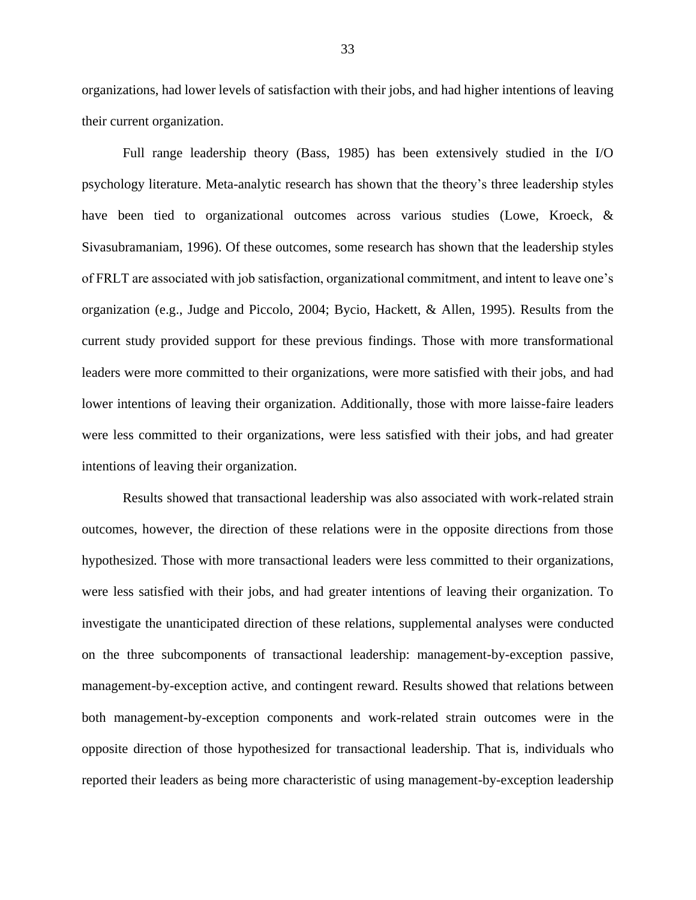organizations, had lower levels of satisfaction with their jobs, and had higher intentions of leaving their current organization.

Full range leadership theory (Bass, 1985) has been extensively studied in the I/O psychology literature. Meta-analytic research has shown that the theory's three leadership styles have been tied to organizational outcomes across various studies (Lowe, Kroeck, & Sivasubramaniam, 1996). Of these outcomes, some research has shown that the leadership styles of FRLT are associated with job satisfaction, organizational commitment, and intent to leave one's organization (e.g., Judge and Piccolo, 2004; Bycio, Hackett, & Allen, 1995). Results from the current study provided support for these previous findings. Those with more transformational leaders were more committed to their organizations, were more satisfied with their jobs, and had lower intentions of leaving their organization. Additionally, those with more laisse-faire leaders were less committed to their organizations, were less satisfied with their jobs, and had greater intentions of leaving their organization.

Results showed that transactional leadership was also associated with work-related strain outcomes, however, the direction of these relations were in the opposite directions from those hypothesized. Those with more transactional leaders were less committed to their organizations, were less satisfied with their jobs, and had greater intentions of leaving their organization. To investigate the unanticipated direction of these relations, supplemental analyses were conducted on the three subcomponents of transactional leadership: management-by-exception passive, management-by-exception active, and contingent reward. Results showed that relations between both management-by-exception components and work-related strain outcomes were in the opposite direction of those hypothesized for transactional leadership. That is, individuals who reported their leaders as being more characteristic of using management-by-exception leadership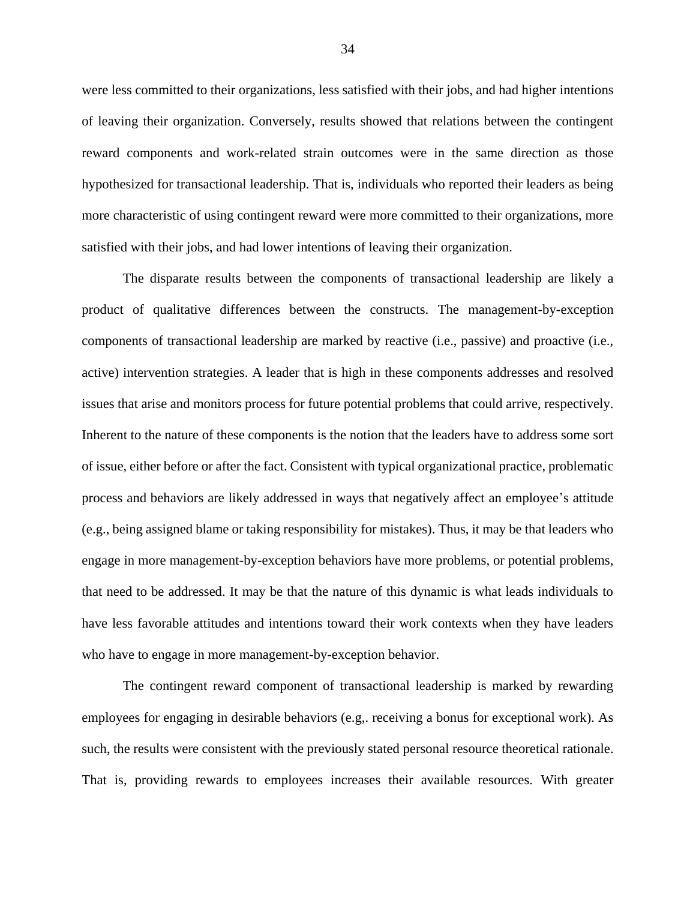were less committed to their organizations, less satisfied with their jobs, and had higher intentions of leaving their organization. Conversely, results showed that relations between the contingent reward components and work-related strain outcomes were in the same direction as those hypothesized for transactional leadership. That is, individuals who reported their leaders as being more characteristic of using contingent reward were more committed to their organizations, more satisfied with their jobs, and had lower intentions of leaving their organization.

The disparate results between the components of transactional leadership are likely a product of qualitative differences between the constructs. The management-by-exception components of transactional leadership are marked by reactive (i.e., passive) and proactive (i.e., active) intervention strategies. A leader that is high in these components addresses and resolved issues that arise and monitors process for future potential problems that could arrive, respectively. Inherent to the nature of these components is the notion that the leaders have to address some sort of issue, either before or after the fact. Consistent with typical organizational practice, problematic process and behaviors are likely addressed in ways that negatively affect an employee's attitude (e.g., being assigned blame or taking responsibility for mistakes). Thus, it may be that leaders who engage in more management-by-exception behaviors have more problems, or potential problems, that need to be addressed. It may be that the nature of this dynamic is what leads individuals to have less favorable attitudes and intentions toward their work contexts when they have leaders who have to engage in more management-by-exception behavior.

The contingent reward component of transactional leadership is marked by rewarding employees for engaging in desirable behaviors (e.g,. receiving a bonus for exceptional work). As such, the results were consistent with the previously stated personal resource theoretical rationale. That is, providing rewards to employees increases their available resources. With greater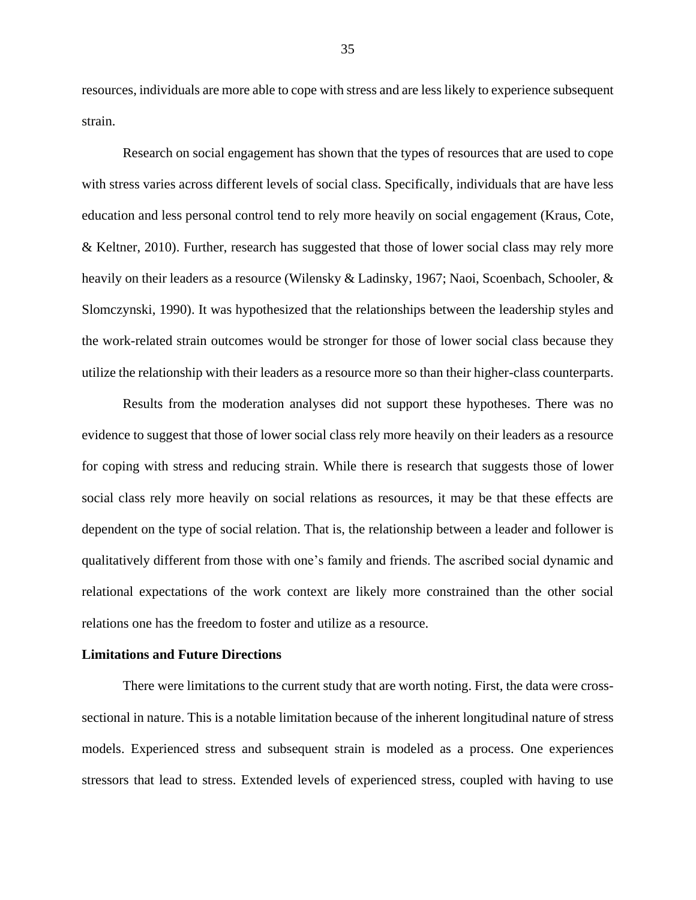resources, individuals are more able to cope with stress and are less likely to experience subsequent strain.

Research on social engagement has shown that the types of resources that are used to cope with stress varies across different levels of social class. Specifically, individuals that are have less education and less personal control tend to rely more heavily on social engagement (Kraus, Cote, & Keltner, 2010). Further, research has suggested that those of lower social class may rely more heavily on their leaders as a resource (Wilensky & Ladinsky, 1967; Naoi, Scoenbach, Schooler, & Slomczynski, 1990). It was hypothesized that the relationships between the leadership styles and the work-related strain outcomes would be stronger for those of lower social class because they utilize the relationship with their leaders as a resource more so than their higher-class counterparts.

Results from the moderation analyses did not support these hypotheses. There was no evidence to suggest that those of lower social class rely more heavily on their leaders as a resource for coping with stress and reducing strain. While there is research that suggests those of lower social class rely more heavily on social relations as resources, it may be that these effects are dependent on the type of social relation. That is, the relationship between a leader and follower is qualitatively different from those with one's family and friends. The ascribed social dynamic and relational expectations of the work context are likely more constrained than the other social relations one has the freedom to foster and utilize as a resource.

#### **Limitations and Future Directions**

There were limitations to the current study that are worth noting. First, the data were crosssectional in nature. This is a notable limitation because of the inherent longitudinal nature of stress models. Experienced stress and subsequent strain is modeled as a process. One experiences stressors that lead to stress. Extended levels of experienced stress, coupled with having to use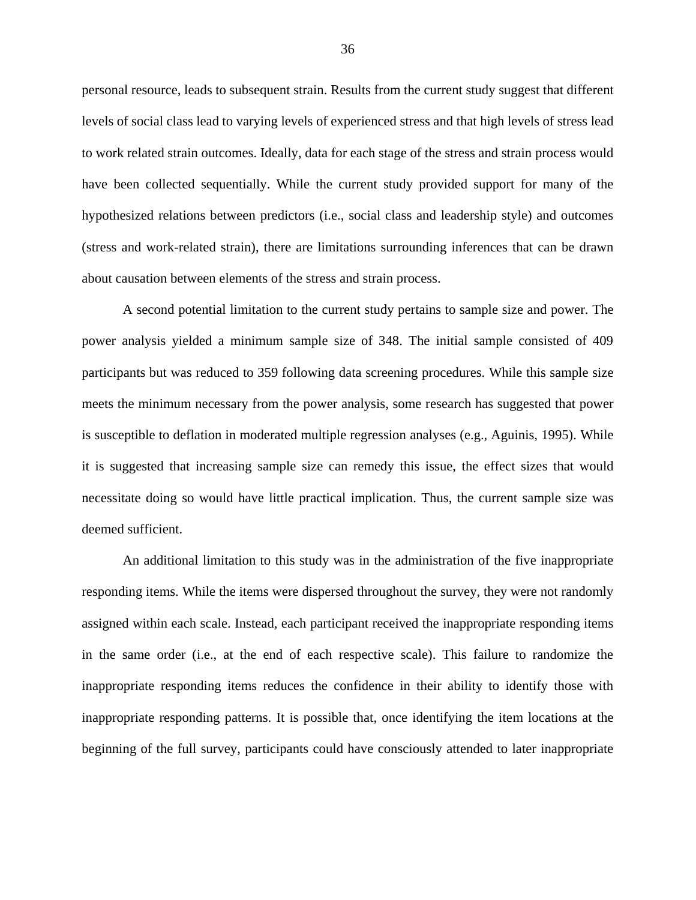personal resource, leads to subsequent strain. Results from the current study suggest that different levels of social class lead to varying levels of experienced stress and that high levels of stress lead to work related strain outcomes. Ideally, data for each stage of the stress and strain process would have been collected sequentially. While the current study provided support for many of the hypothesized relations between predictors (i.e., social class and leadership style) and outcomes (stress and work-related strain), there are limitations surrounding inferences that can be drawn about causation between elements of the stress and strain process.

A second potential limitation to the current study pertains to sample size and power. The power analysis yielded a minimum sample size of 348. The initial sample consisted of 409 participants but was reduced to 359 following data screening procedures. While this sample size meets the minimum necessary from the power analysis, some research has suggested that power is susceptible to deflation in moderated multiple regression analyses (e.g., Aguinis, 1995). While it is suggested that increasing sample size can remedy this issue, the effect sizes that would necessitate doing so would have little practical implication. Thus, the current sample size was deemed sufficient.

An additional limitation to this study was in the administration of the five inappropriate responding items. While the items were dispersed throughout the survey, they were not randomly assigned within each scale. Instead, each participant received the inappropriate responding items in the same order (i.e., at the end of each respective scale). This failure to randomize the inappropriate responding items reduces the confidence in their ability to identify those with inappropriate responding patterns. It is possible that, once identifying the item locations at the beginning of the full survey, participants could have consciously attended to later inappropriate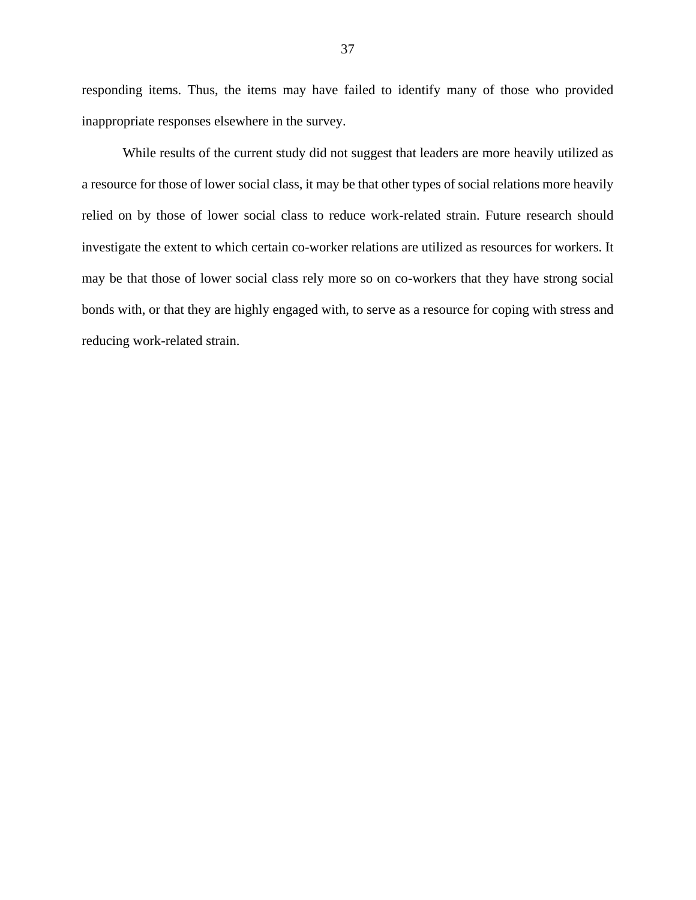responding items. Thus, the items may have failed to identify many of those who provided inappropriate responses elsewhere in the survey.

While results of the current study did not suggest that leaders are more heavily utilized as a resource for those of lower social class, it may be that other types of social relations more heavily relied on by those of lower social class to reduce work-related strain. Future research should investigate the extent to which certain co-worker relations are utilized as resources for workers. It may be that those of lower social class rely more so on co-workers that they have strong social bonds with, or that they are highly engaged with, to serve as a resource for coping with stress and reducing work-related strain.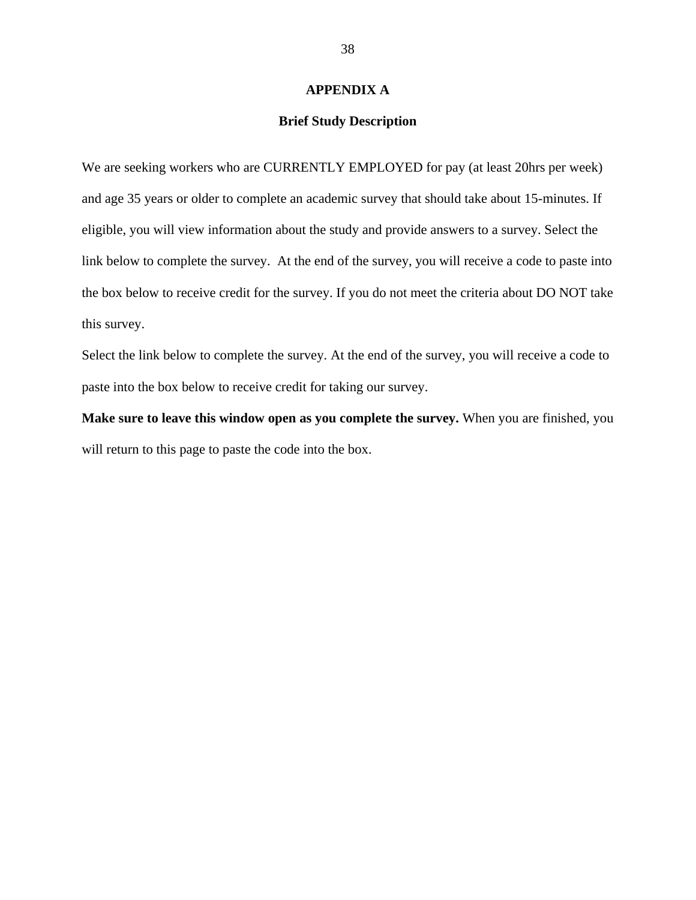#### **APPENDIX A**

## **Brief Study Description**

We are seeking workers who are CURRENTLY EMPLOYED for pay (at least 20hrs per week) and age 35 years or older to complete an academic survey that should take about 15-minutes. If eligible, you will view information about the study and provide answers to a survey. Select the link below to complete the survey. At the end of the survey, you will receive a code to paste into the box below to receive credit for the survey. If you do not meet the criteria about DO NOT take this survey.

Select the link below to complete the survey. At the end of the survey, you will receive a code to paste into the box below to receive credit for taking our survey.

**Make sure to leave this window open as you complete the survey.** When you are finished, you will return to this page to paste the code into the box.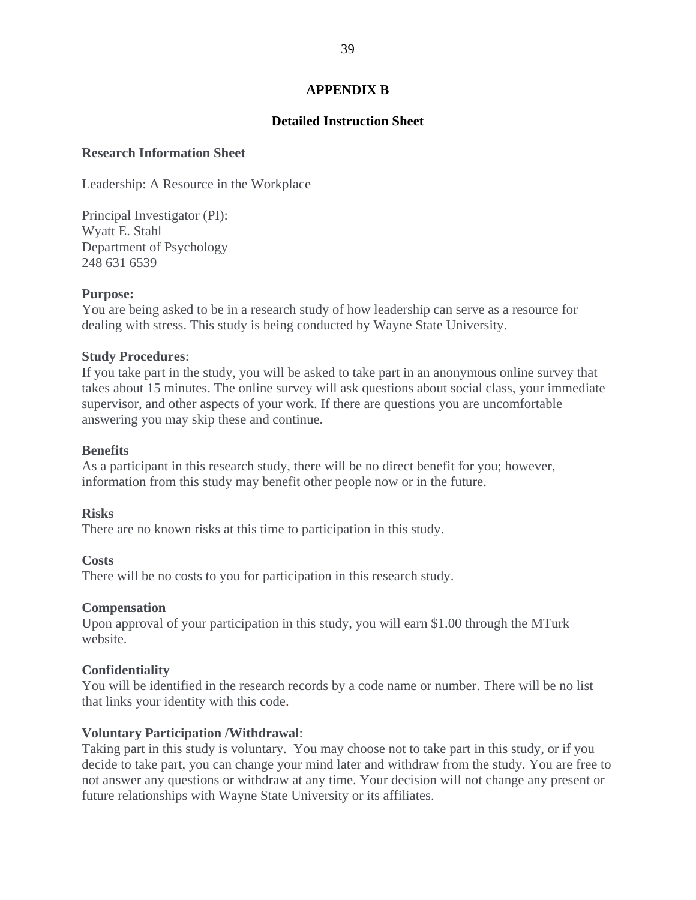# **APPENDIX B**

# **Detailed Instruction Sheet**

## **Research Information Sheet**

Leadership: A Resource in the Workplace

Principal Investigator (PI): Wyatt E. Stahl Department of Psychology 248 631 6539

## **Purpose:**

You are being asked to be in a research study of how leadership can serve as a resource for dealing with stress. This study is being conducted by Wayne State University.

## **Study Procedures**:

If you take part in the study, you will be asked to take part in an anonymous online survey that takes about 15 minutes. The online survey will ask questions about social class, your immediate supervisor, and other aspects of your work. If there are questions you are uncomfortable answering you may skip these and continue.

#### **Benefits**

As a participant in this research study, there will be no direct benefit for you; however, information from this study may benefit other people now or in the future.

#### **Risks**

There are no known risks at this time to participation in this study.

#### **Costs**

There will be no costs to you for participation in this research study.

#### **Compensation**

Upon approval of your participation in this study, you will earn \$1.00 through the MTurk website.

#### **Confidentiality**

You will be identified in the research records by a code name or number. There will be no list that links your identity with this code.

# **Voluntary Participation /Withdrawal**:

Taking part in this study is voluntary. You may choose not to take part in this study, or if you decide to take part, you can change your mind later and withdraw from the study. You are free to not answer any questions or withdraw at any time. Your decision will not change any present or future relationships with Wayne State University or its affiliates.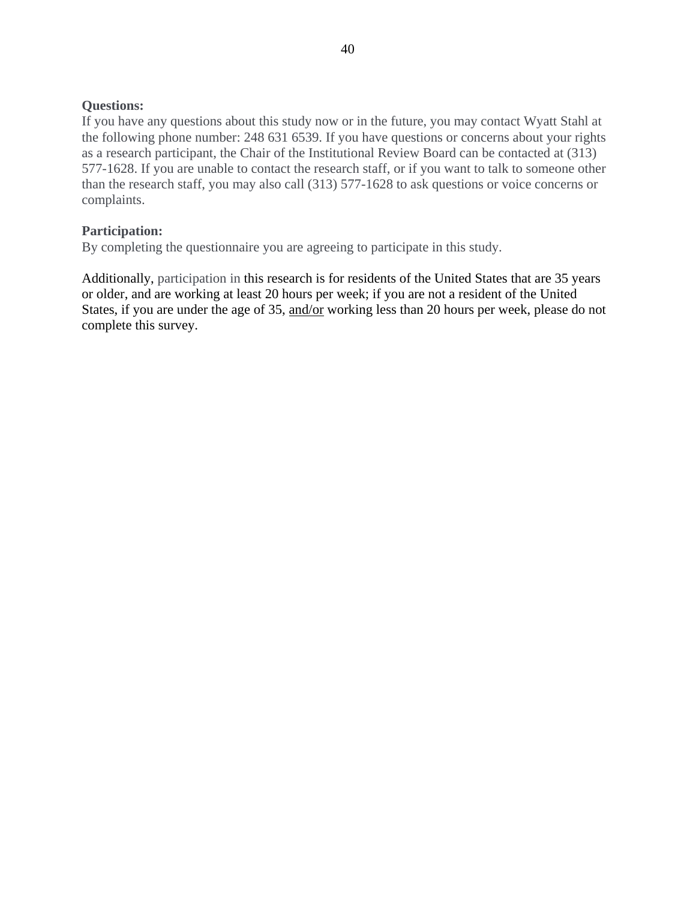# **Questions:**

If you have any questions about this study now or in the future, you may contact Wyatt Stahl at the following phone number: 248 631 6539. If you have questions or concerns about your rights as a research participant, the Chair of the Institutional Review Board can be contacted at (313) 577-1628. If you are unable to contact the research staff, or if you want to talk to someone other than the research staff, you may also call (313) 577-1628 to ask questions or voice concerns or complaints.

# **Participation:**

By completing the questionnaire you are agreeing to participate in this study.

Additionally, participation in this research is for residents of the United States that are 35 years or older, and are working at least 20 hours per week; if you are not a resident of the United States, if you are under the age of 35, and/or working less than 20 hours per week, please do not complete this survey.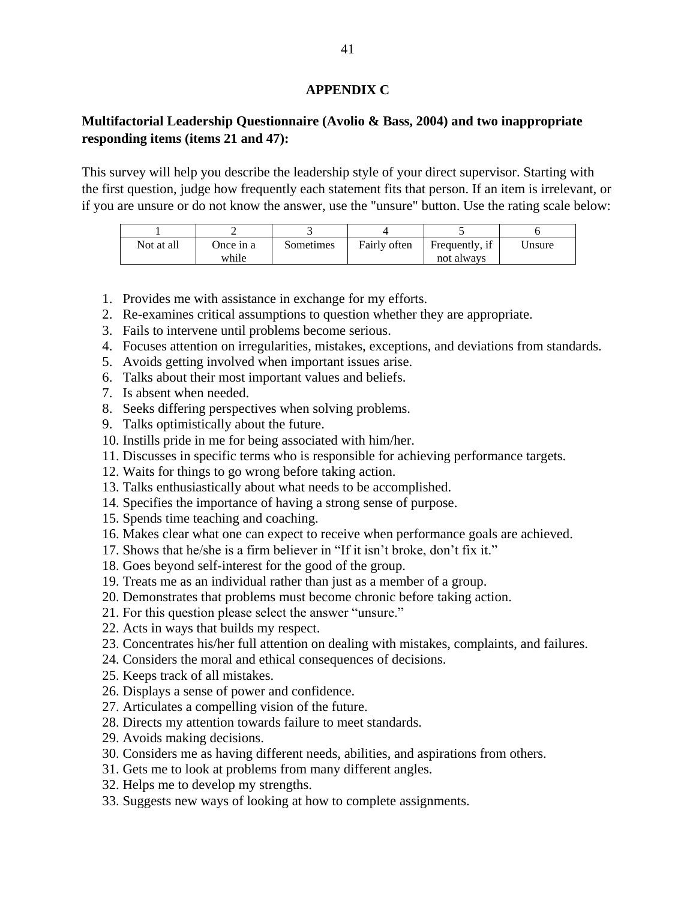# **APPENDIX C**

# **Multifactorial Leadership Questionnaire (Avolio & Bass, 2004) and two inappropriate responding items (items 21 and 47):**

This survey will help you describe the leadership style of your direct supervisor. Starting with the first question, judge how frequently each statement fits that person. If an item is irrelevant, or if you are unsure or do not know the answer, use the "unsure" button. Use the rating scale below:

| Not at all | Once in a | Sometimes | Fairly often | Frequently, if | ∪nsure |
|------------|-----------|-----------|--------------|----------------|--------|
|            | while     |           |              | not always     |        |

- 1. Provides me with assistance in exchange for my efforts.
- 2. Re-examines critical assumptions to question whether they are appropriate.
- 3. Fails to intervene until problems become serious.
- 4. Focuses attention on irregularities, mistakes, exceptions, and deviations from standards.
- 5. Avoids getting involved when important issues arise.
- 6. Talks about their most important values and beliefs.
- 7. Is absent when needed.
- 8. Seeks differing perspectives when solving problems.
- 9. Talks optimistically about the future.
- 10. Instills pride in me for being associated with him/her.
- 11. Discusses in specific terms who is responsible for achieving performance targets.
- 12. Waits for things to go wrong before taking action.
- 13. Talks enthusiastically about what needs to be accomplished.
- 14. Specifies the importance of having a strong sense of purpose.
- 15. Spends time teaching and coaching.
- 16. Makes clear what one can expect to receive when performance goals are achieved.
- 17. Shows that he/she is a firm believer in "If it isn't broke, don't fix it."
- 18. Goes beyond self-interest for the good of the group.
- 19. Treats me as an individual rather than just as a member of a group.
- 20. Demonstrates that problems must become chronic before taking action.
- 21. For this question please select the answer "unsure."
- 22. Acts in ways that builds my respect.
- 23. Concentrates his/her full attention on dealing with mistakes, complaints, and failures.
- 24. Considers the moral and ethical consequences of decisions.
- 25. Keeps track of all mistakes.
- 26. Displays a sense of power and confidence.
- 27. Articulates a compelling vision of the future.
- 28. Directs my attention towards failure to meet standards.
- 29. Avoids making decisions.
- 30. Considers me as having different needs, abilities, and aspirations from others.
- 31. Gets me to look at problems from many different angles.
- 32. Helps me to develop my strengths.
- 33. Suggests new ways of looking at how to complete assignments.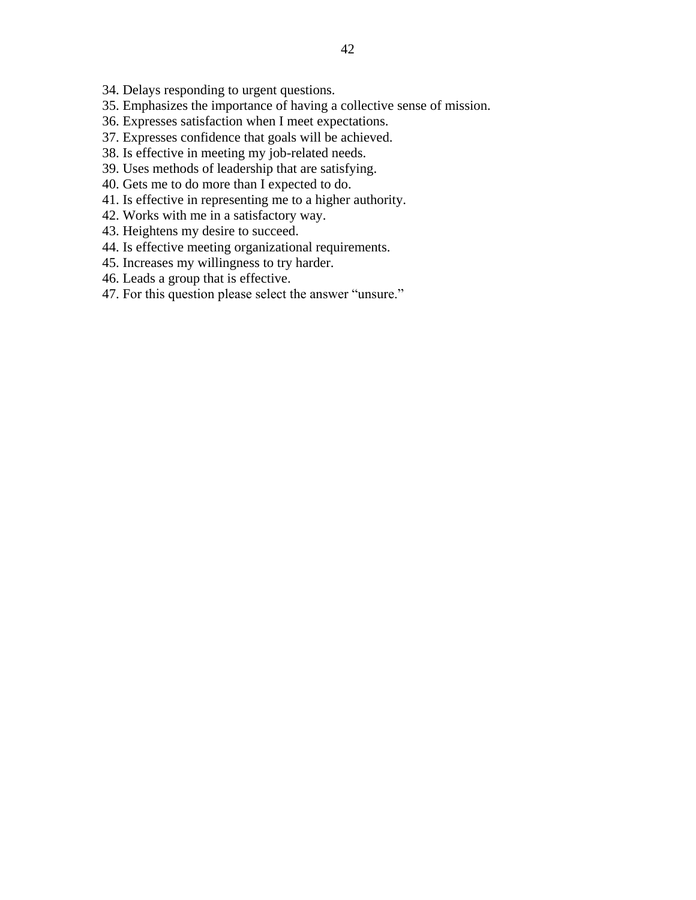- 34. Delays responding to urgent questions.
- 35. Emphasizes the importance of having a collective sense of mission.
- 36. Expresses satisfaction when I meet expectations.
- 37. Expresses confidence that goals will be achieved.
- 38. Is effective in meeting my job-related needs.
- 39. Uses methods of leadership that are satisfying.
- 40. Gets me to do more than I expected to do.
- 41. Is effective in representing me to a higher authority.
- 42. Works with me in a satisfactory way.
- 43. Heightens my desire to succeed.
- 44. Is effective meeting organizational requirements.
- 45. Increases my willingness to try harder.
- 46. Leads a group that is effective.
- 47. For this question please select the answer "unsure."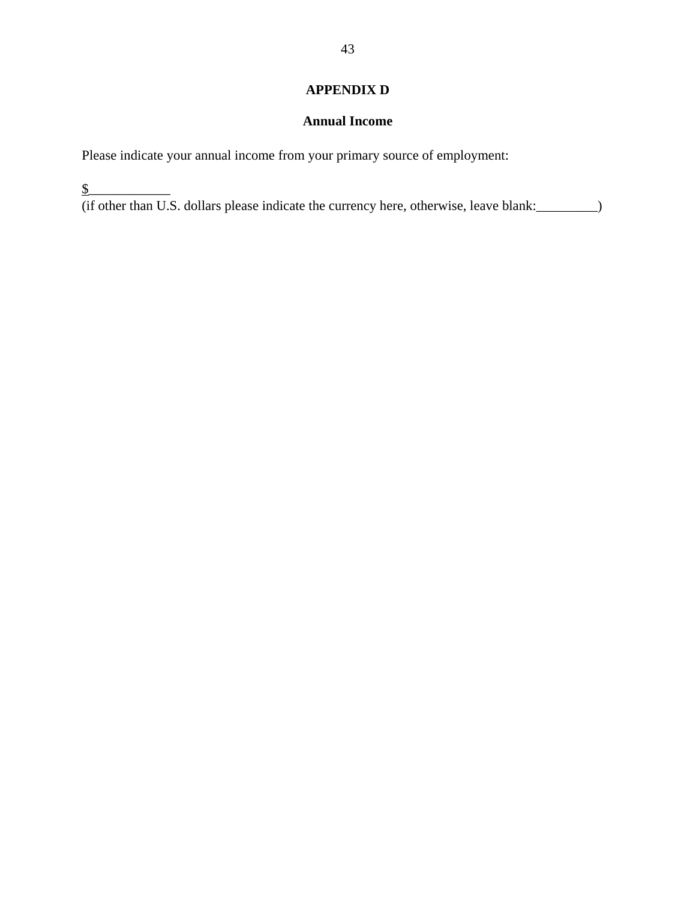# **APPENDIX D**

# **Annual Income**

Please indicate your annual income from your primary source of employment:

 $\frac{\S}{}$ 

 $\frac{2}{2}$  (if other than U.S. dollars please indicate the currency here, otherwise, leave blank: \_\_\_\_\_\_\_\_\_\_)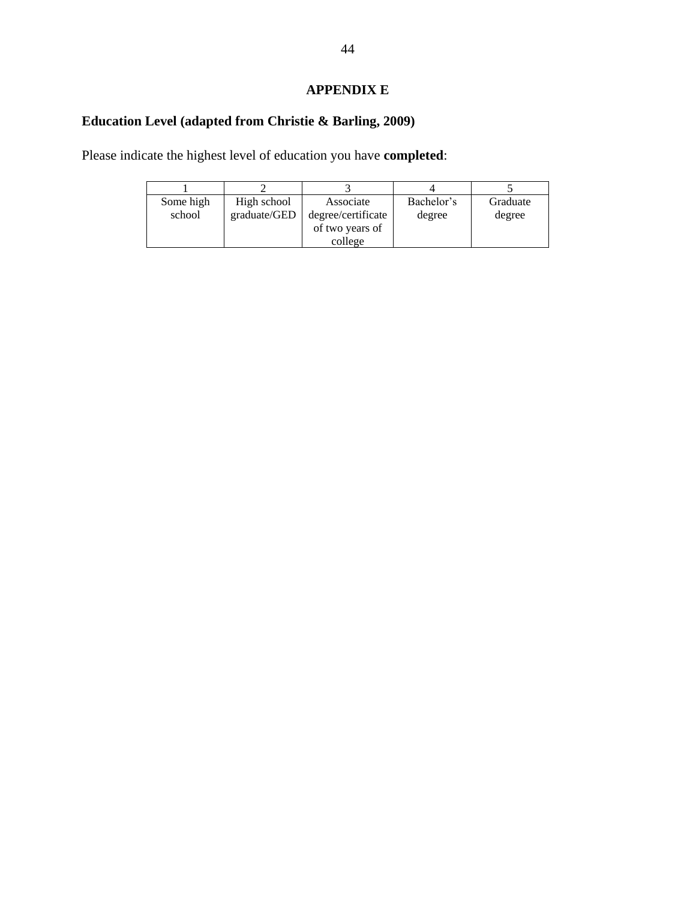# **APPENDIX E**

# **Education Level (adapted from Christie & Barling, 2009)**

Please indicate the highest level of education you have **completed**:

| Some high<br>school | High school<br>graduate/GED | Associate<br>degree/certificate<br>of two years of<br>college | Bachelor's<br>degree | Graduate<br>degree |
|---------------------|-----------------------------|---------------------------------------------------------------|----------------------|--------------------|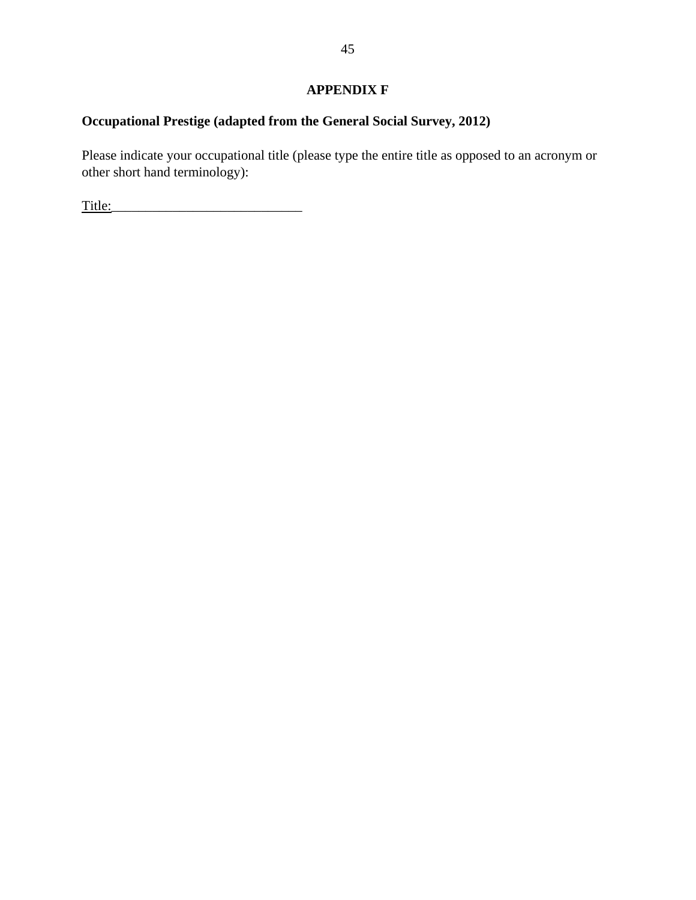# **APPENDIX F**

# **Occupational Prestige (adapted from the General Social Survey, 2012)**

Please indicate your occupational title (please type the entire title as opposed to an acronym or other short hand terminology):

Title:\_\_\_\_\_\_\_\_\_\_\_\_\_\_\_\_\_\_\_\_\_\_\_\_\_\_\_\_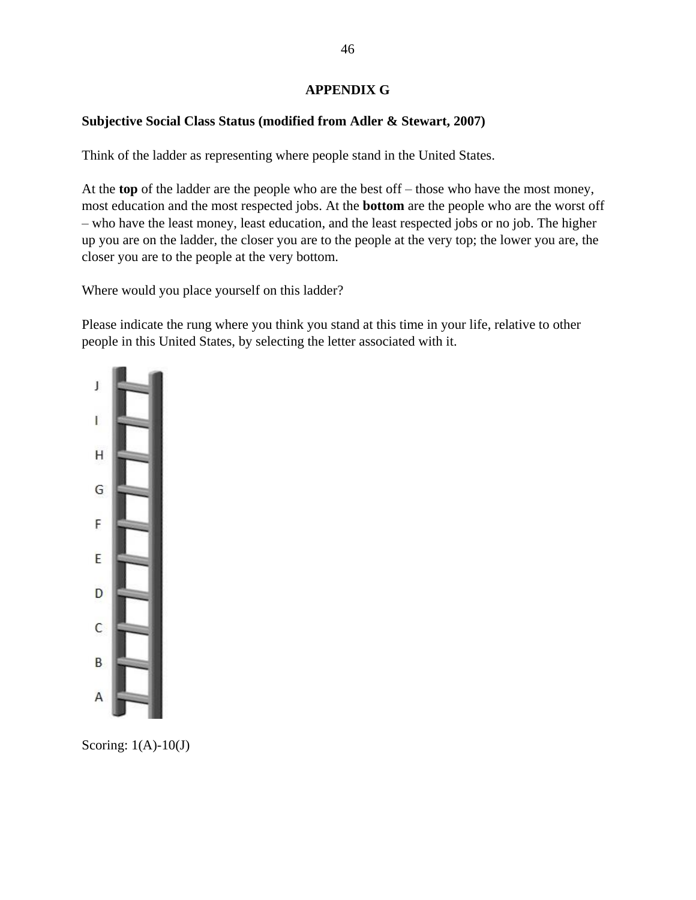# **APPENDIX G**

# **Subjective Social Class Status (modified from Adler & Stewart, 2007)**

Think of the ladder as representing where people stand in the United States.

At the **top** of the ladder are the people who are the best off – those who have the most money, most education and the most respected jobs. At the **bottom** are the people who are the worst off – who have the least money, least education, and the least respected jobs or no job. The higher up you are on the ladder, the closer you are to the people at the very top; the lower you are, the closer you are to the people at the very bottom.

Where would you place yourself on this ladder?

Please indicate the rung where you think you stand at this time in your life, relative to other people in this United States, by selecting the letter associated with it.



Scoring: 1(A)-10(J)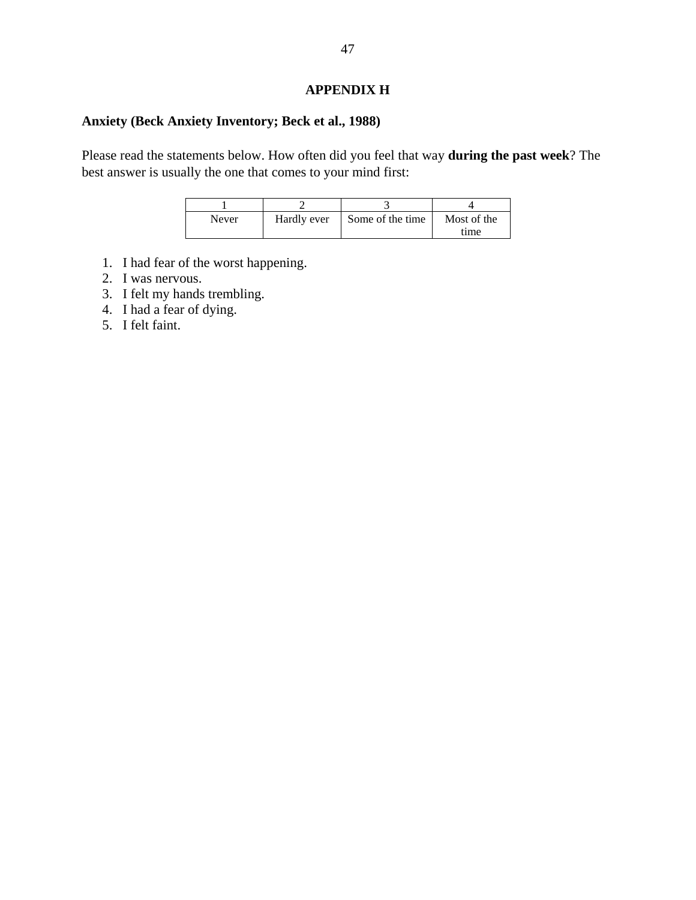# **APPENDIX H**

# **Anxiety (Beck Anxiety Inventory; Beck et al., 1988)**

Please read the statements below. How often did you feel that way **during the past week**? The best answer is usually the one that comes to your mind first:

| Never | Hardly ever | Some of the time | Most of the |
|-------|-------------|------------------|-------------|
|       |             |                  | time        |

- 1. I had fear of the worst happening.
- 2. I was nervous.
- 3. I felt my hands trembling.
- 4. I had a fear of dying.
- 5. I felt faint.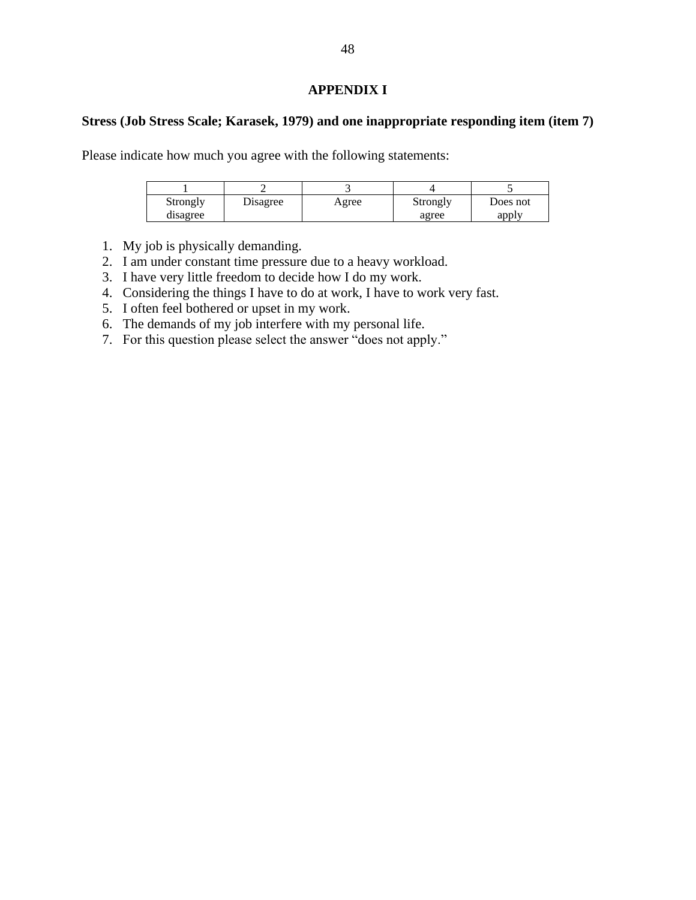# **APPENDIX I**

# **Stress (Job Stress Scale; Karasek, 1979) and one inappropriate responding item (item 7)**

Please indicate how much you agree with the following statements:

| Strongly | Disagree | Agree | Strongly | Does not |
|----------|----------|-------|----------|----------|
| disagree |          |       | agree    | apply    |

- 1. My job is physically demanding.
- 2. I am under constant time pressure due to a heavy workload.
- 3. I have very little freedom to decide how I do my work.
- 4. Considering the things I have to do at work, I have to work very fast.
- 5. I often feel bothered or upset in my work.
- 6. The demands of my job interfere with my personal life.
- 7. For this question please select the answer "does not apply."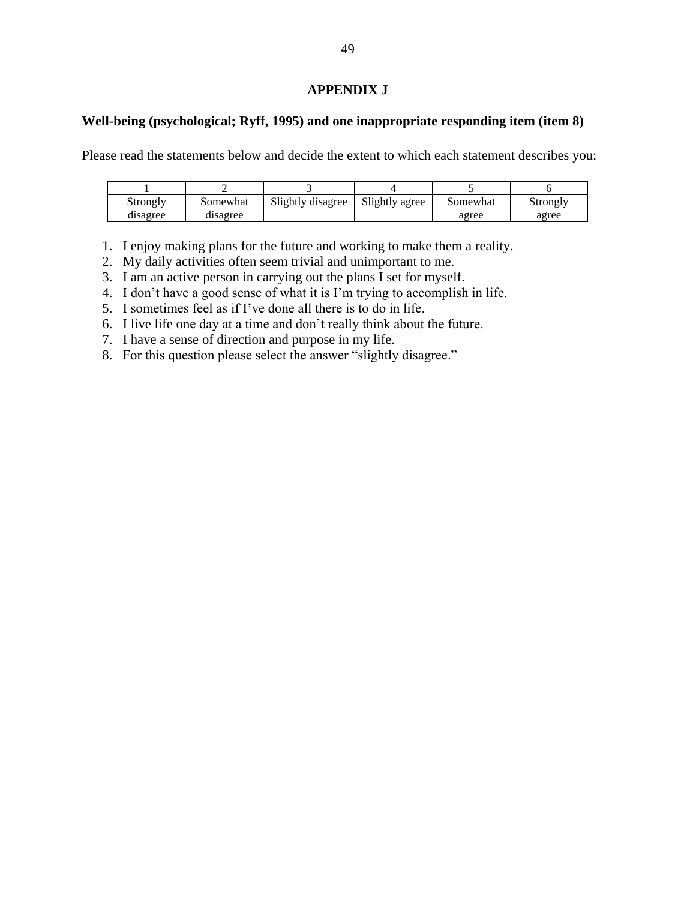# **APPENDIX J**

# **Well-being (psychological; Ryff, 1995) and one inappropriate responding item (item 8)**

Please read the statements below and decide the extent to which each statement describes you:

| Strongly | Somewhat | Slightly disagree | Slightly agree | Somewhat | Strongly |
|----------|----------|-------------------|----------------|----------|----------|
| disagree | disagree |                   |                | agree    | agree    |

- 1. I enjoy making plans for the future and working to make them a reality.
- 2. My daily activities often seem trivial and unimportant to me.
- 3. I am an active person in carrying out the plans I set for myself.
- 4. I don't have a good sense of what it is I'm trying to accomplish in life.
- 5. I sometimes feel as if I've done all there is to do in life.
- 6. I live life one day at a time and don't really think about the future.
- 7. I have a sense of direction and purpose in my life.
- 8. For this question please select the answer "slightly disagree."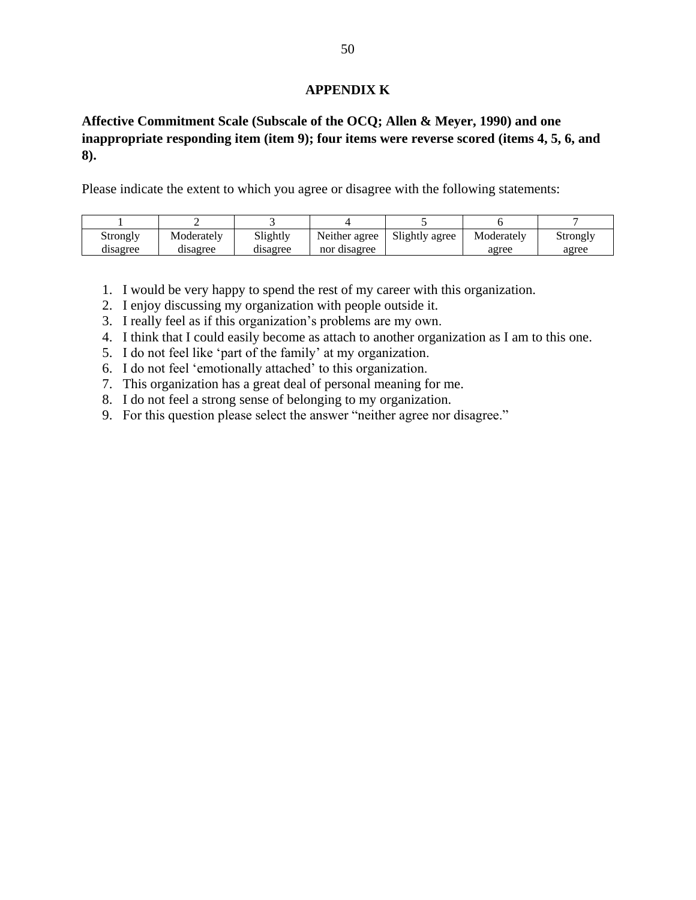# **APPENDIX K**

# **Affective Commitment Scale (Subscale of the OCQ; Allen & Meyer, 1990) and one inappropriate responding item (item 9); four items were reverse scored (items 4, 5, 6, and 8).**

Please indicate the extent to which you agree or disagree with the following statements:

| Strongly | Moderately | Slightly | Neither agree | Slightly agree | Moderately | Strongly |
|----------|------------|----------|---------------|----------------|------------|----------|
| disagree | disagree   | disagree | nor disagree  |                | agree      | agree    |

- 1. I would be very happy to spend the rest of my career with this organization.
- 2. I enjoy discussing my organization with people outside it.
- 3. I really feel as if this organization's problems are my own.
- 4. I think that I could easily become as attach to another organization as I am to this one.
- 5. I do not feel like 'part of the family' at my organization.
- 6. I do not feel 'emotionally attached' to this organization.
- 7. This organization has a great deal of personal meaning for me.
- 8. I do not feel a strong sense of belonging to my organization.
- 9. For this question please select the answer "neither agree nor disagree."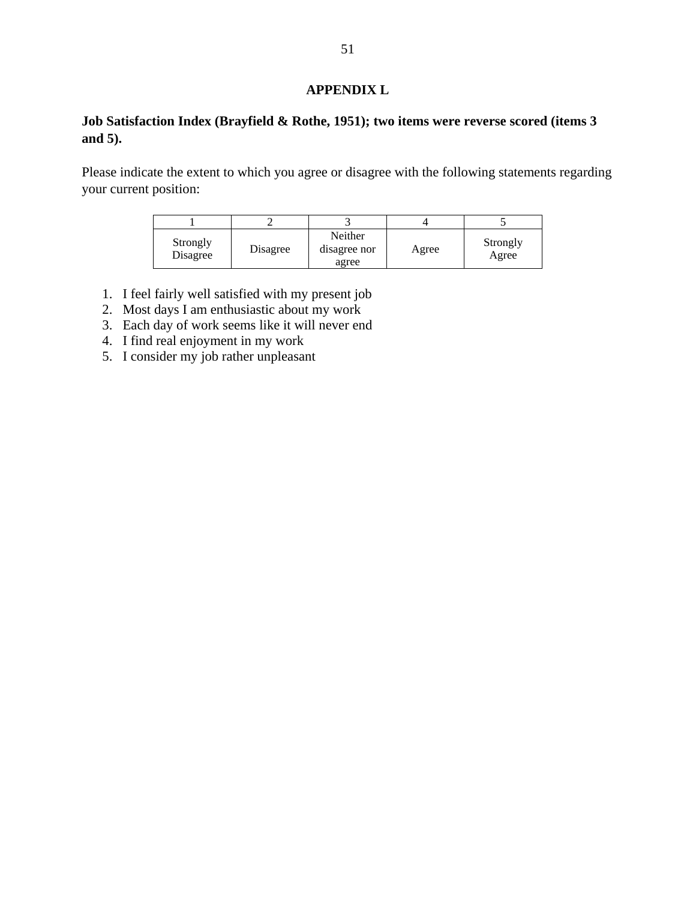# **APPENDIX L**

# **Job Satisfaction Index (Brayfield & Rothe, 1951); two items were reverse scored (items 3 and 5).**

Please indicate the extent to which you agree or disagree with the following statements regarding your current position:

| Strongly<br>Disagree | Disagree | Neither<br>disagree nor<br>agree | Agree | Strongly<br>Agree |
|----------------------|----------|----------------------------------|-------|-------------------|

- 1. I feel fairly well satisfied with my present job
- 2. Most days I am enthusiastic about my work
- 3. Each day of work seems like it will never end
- 4. I find real enjoyment in my work
- 5. I consider my job rather unpleasant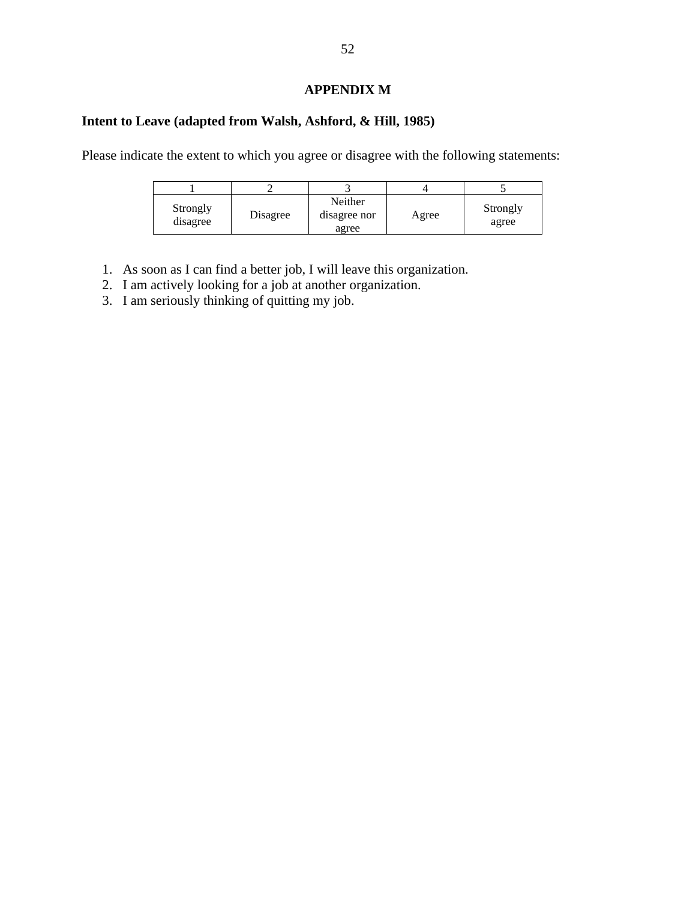# **APPENDIX M**

# **Intent to Leave (adapted from Walsh, Ashford, & Hill, 1985)**

Please indicate the extent to which you agree or disagree with the following statements:

| Strongly<br>disagree | Disagree | Neither<br>disagree nor<br>agree | Agree | Strongly<br>agree |
|----------------------|----------|----------------------------------|-------|-------------------|

- 1. As soon as I can find a better job, I will leave this organization.
- 2. I am actively looking for a job at another organization.
- 3. I am seriously thinking of quitting my job.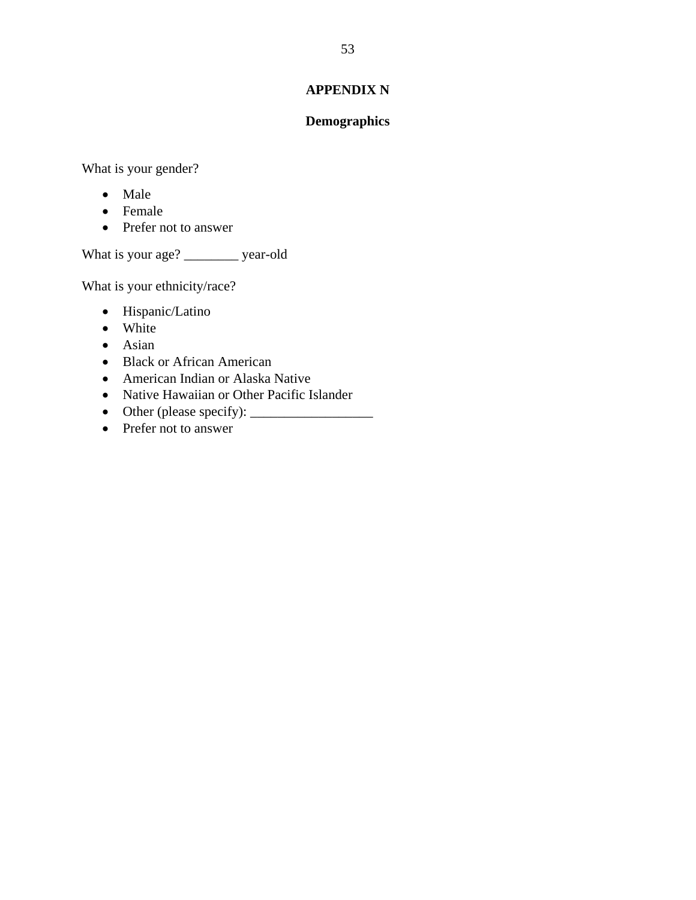# **APPENDIX N**

# **Demographics**

What is your gender?

- Male
- Female
- Prefer not to answer

What is your age? \_\_\_\_\_\_\_\_ year-old

What is your ethnicity/race?

- Hispanic/Latino
- White
- Asian
- Black or African American
- American Indian or Alaska Native
- Native Hawaiian or Other Pacific Islander
- Other (please specify): \_\_\_\_\_\_\_\_\_\_\_\_\_\_\_\_\_\_
- Prefer not to answer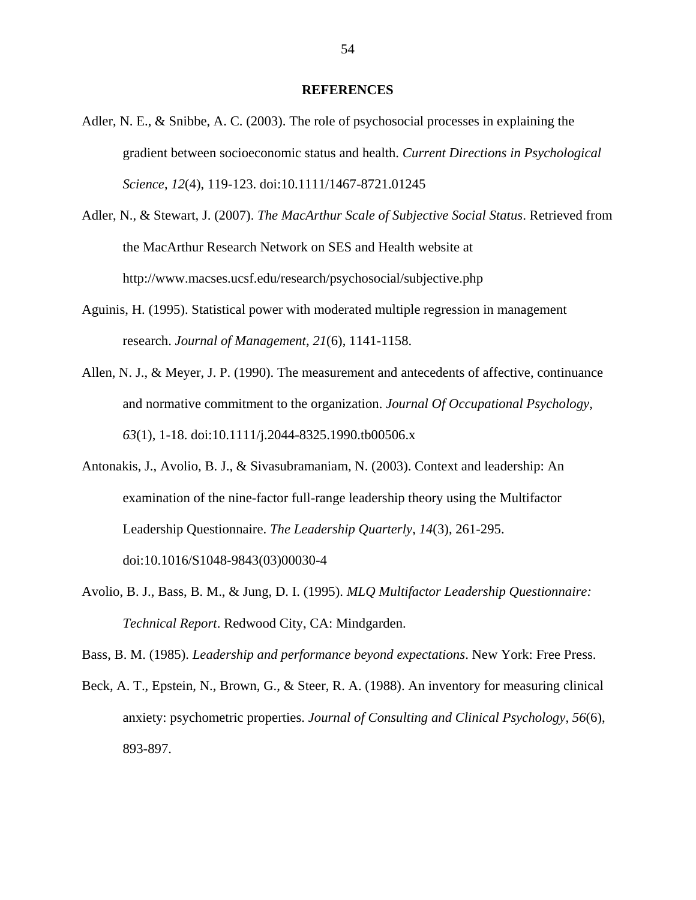#### **REFERENCES**

- Adler, N. E., & Snibbe, A. C. (2003). The role of psychosocial processes in explaining the gradient between socioeconomic status and health. *Current Directions in Psychological Science*, *12*(4), 119-123. doi:10.1111/1467-8721.01245
- Adler, N., & Stewart, J. (2007). *The MacArthur Scale of Subjective Social Status*. Retrieved from the MacArthur Research Network on SES and Health website at http://www.macses.ucsf.edu/research/psychosocial/subjective.php
- Aguinis, H. (1995). Statistical power with moderated multiple regression in management research. *Journal of Management*, *21*(6), 1141-1158.
- Allen, N. J., & Meyer, J. P. (1990). The measurement and antecedents of affective, continuance and normative commitment to the organization. *Journal Of Occupational Psychology*, *63*(1), 1-18. doi:10.1111/j.2044-8325.1990.tb00506.x
- Antonakis, J., Avolio, B. J., & Sivasubramaniam, N. (2003). Context and leadership: An examination of the nine-factor full-range leadership theory using the Multifactor Leadership Questionnaire. *The Leadership Quarterly*, *14*(3), 261-295. doi:10.1016/S1048-9843(03)00030-4
- Avolio, B. J., Bass, B. M., & Jung, D. I. (1995). *MLQ Multifactor Leadership Questionnaire: Technical Report*. Redwood City, CA: Mindgarden.

Bass, B. M. (1985). *Leadership and performance beyond expectations*. New York: Free Press.

Beck, A. T., Epstein, N., Brown, G., & Steer, R. A. (1988). An inventory for measuring clinical anxiety: psychometric properties. *Journal of Consulting and Clinical Psychology*, *56*(6), 893-897.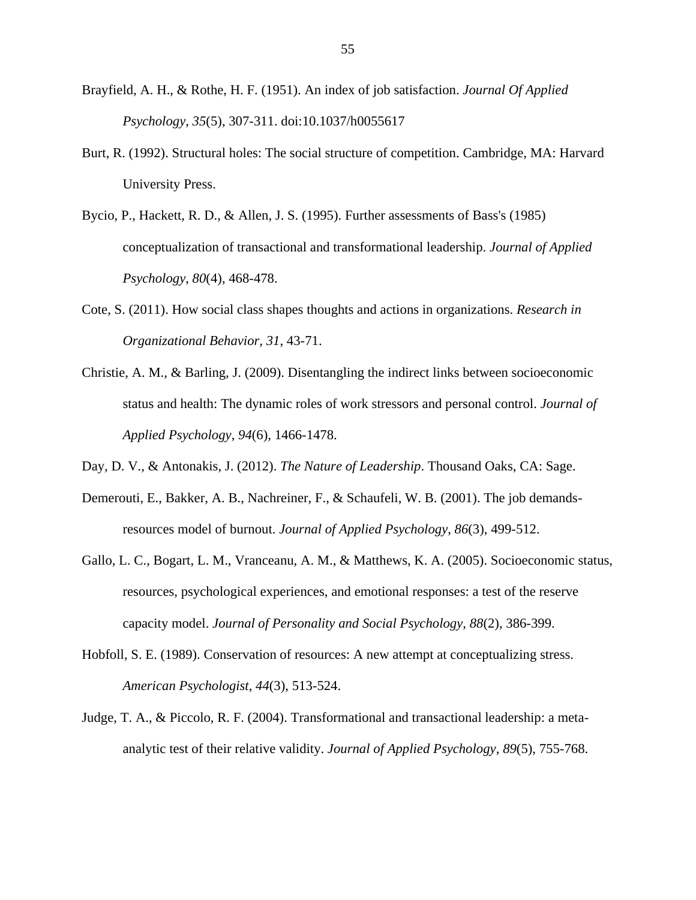- Brayfield, A. H., & Rothe, H. F. (1951). An index of job satisfaction. *Journal Of Applied Psychology*, *35*(5), 307-311. doi:10.1037/h0055617
- Burt, R. (1992). Structural holes: The social structure of competition. Cambridge, MA: Harvard University Press.
- Bycio, P., Hackett, R. D., & Allen, J. S. (1995). Further assessments of Bass's (1985) conceptualization of transactional and transformational leadership. *Journal of Applied Psychology*, *80*(4), 468-478.
- Cote, S. (2011). How social class shapes thoughts and actions in organizations. *Research in Organizational Behavior, 31*, 43-71.
- Christie, A. M., & Barling, J. (2009). Disentangling the indirect links between socioeconomic status and health: The dynamic roles of work stressors and personal control. *Journal of Applied Psychology*, *94*(6), 1466-1478.
- Day, D. V., & Antonakis, J. (2012). *The Nature of Leadership*. Thousand Oaks, CA: Sage.
- Demerouti, E., Bakker, A. B., Nachreiner, F., & Schaufeli, W. B. (2001). The job demandsresources model of burnout. *Journal of Applied Psychology*, *86*(3), 499-512.
- Gallo, L. C., Bogart, L. M., Vranceanu, A. M., & Matthews, K. A. (2005). Socioeconomic status, resources, psychological experiences, and emotional responses: a test of the reserve capacity model. *Journal of Personality and Social Psychology*, *88*(2), 386-399.
- Hobfoll, S. E. (1989). Conservation of resources: A new attempt at conceptualizing stress. *American Psychologist*, *44*(3), 513-524.
- Judge, T. A., & Piccolo, R. F. (2004). Transformational and transactional leadership: a metaanalytic test of their relative validity. *Journal of Applied Psychology*, *89*(5), 755-768.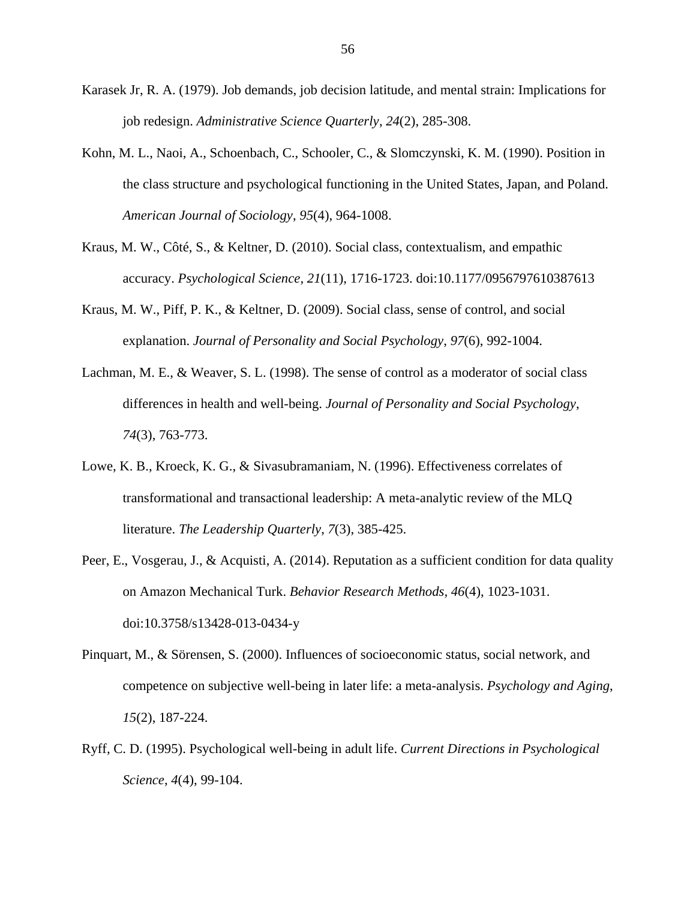- Karasek Jr, R. A. (1979). Job demands, job decision latitude, and mental strain: Implications for job redesign. *Administrative Science Quarterly*, *24*(2), 285-308.
- Kohn, M. L., Naoi, A., Schoenbach, C., Schooler, C., & Slomczynski, K. M. (1990). Position in the class structure and psychological functioning in the United States, Japan, and Poland. *American Journal of Sociology*, *95*(4), 964-1008.
- Kraus, M. W., Côté, S., & Keltner, D. (2010). Social class, contextualism, and empathic accuracy. *Psychological Science, 21*(11), 1716-1723. doi:10.1177/0956797610387613
- Kraus, M. W., Piff, P. K., & Keltner, D. (2009). Social class, sense of control, and social explanation. *Journal of Personality and Social Psychology*, *97*(6), 992-1004.
- Lachman, M. E., & Weaver, S. L. (1998). The sense of control as a moderator of social class differences in health and well-being. *Journal of Personality and Social Psychology*, *74*(3), 763-773.
- Lowe, K. B., Kroeck, K. G., & Sivasubramaniam, N. (1996). Effectiveness correlates of transformational and transactional leadership: A meta-analytic review of the MLQ literature. *The Leadership Quarterly*, *7*(3), 385-425.
- Peer, E., Vosgerau, J., & Acquisti, A. (2014). Reputation as a sufficient condition for data quality on Amazon Mechanical Turk. *Behavior Research Methods, 46*(4), 1023-1031. doi:10.3758/s13428-013-0434-y
- Pinquart, M., & Sörensen, S. (2000). Influences of socioeconomic status, social network, and competence on subjective well-being in later life: a meta-analysis. *Psychology and Aging*, *15*(2), 187-224.
- Ryff, C. D. (1995). Psychological well-being in adult life. *Current Directions in Psychological Science*, *4*(4), 99-104.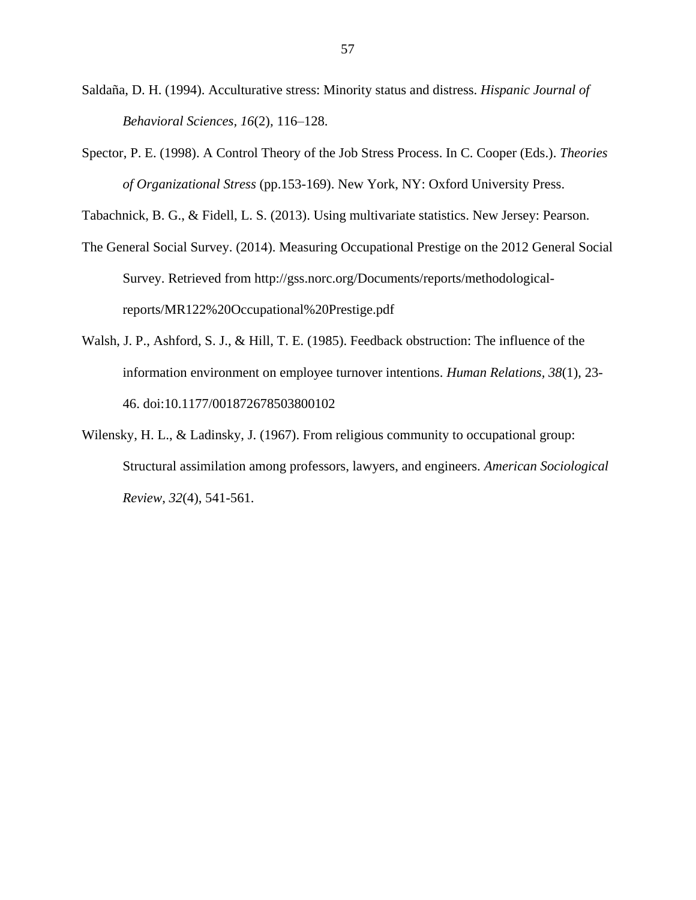- Saldaña, D. H. (1994). Acculturative stress: Minority status and distress. *Hispanic Journal of Behavioral Sciences, 16*(2)*,* 116–128.
- Spector, P. E. (1998). A Control Theory of the Job Stress Process. In C. Cooper (Eds.). *Theories of Organizational Stress* (pp.153-169). New York, NY: Oxford University Press.

Tabachnick, B. G., & Fidell, L. S. (2013). Using multivariate statistics. New Jersey: Pearson.

- The General Social Survey. (2014). Measuring Occupational Prestige on the 2012 General Social Survey. Retrieved from http://gss.norc.org/Documents/reports/methodologicalreports/MR122%20Occupational%20Prestige.pdf
- Walsh, J. P., Ashford, S. J., & Hill, T. E. (1985). Feedback obstruction: The influence of the information environment on employee turnover intentions. *Human Relations, 38*(1), 23- 46. doi:10.1177/001872678503800102
- Wilensky, H. L., & Ladinsky, J. (1967). From religious community to occupational group: Structural assimilation among professors, lawyers, and engineers. *American Sociological Review*, *32*(4), 541-561.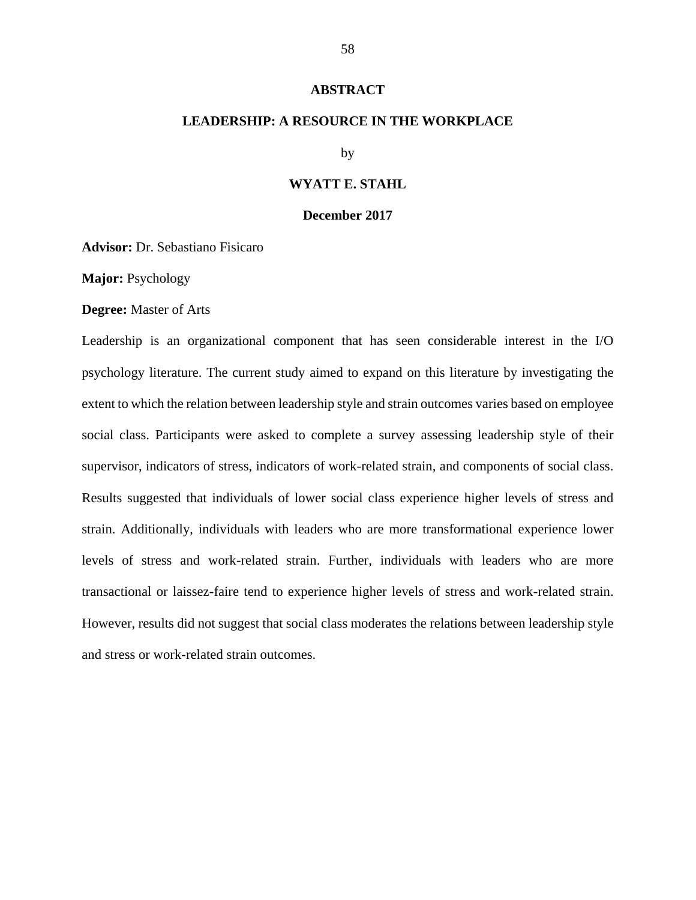#### **ABSTRACT**

#### **LEADERSHIP: A RESOURCE IN THE WORKPLACE**

by

## **WYATT E. STAHL**

#### **December 2017**

**Advisor:** Dr. Sebastiano Fisicaro

**Major:** Psychology

#### **Degree:** Master of Arts

Leadership is an organizational component that has seen considerable interest in the I/O psychology literature. The current study aimed to expand on this literature by investigating the extent to which the relation between leadership style and strain outcomes varies based on employee social class. Participants were asked to complete a survey assessing leadership style of their supervisor, indicators of stress, indicators of work-related strain, and components of social class. Results suggested that individuals of lower social class experience higher levels of stress and strain. Additionally, individuals with leaders who are more transformational experience lower levels of stress and work-related strain. Further, individuals with leaders who are more transactional or laissez-faire tend to experience higher levels of stress and work-related strain. However, results did not suggest that social class moderates the relations between leadership style and stress or work-related strain outcomes.